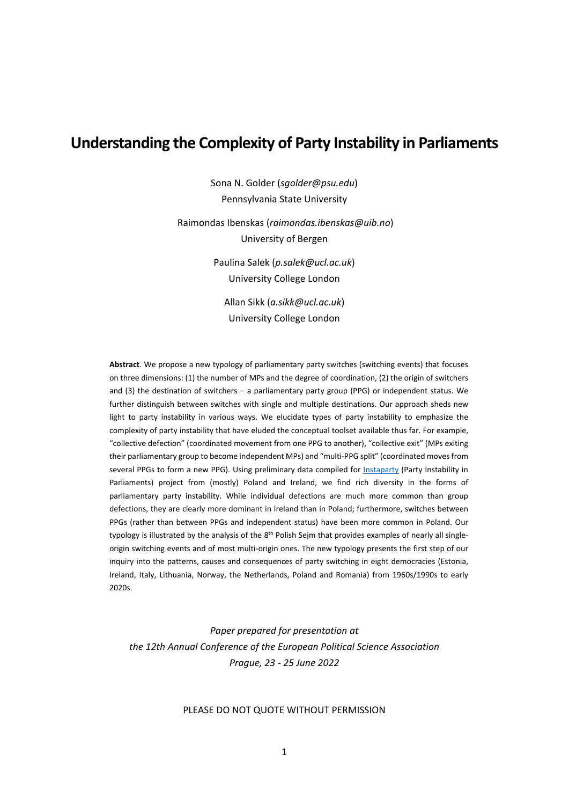# **Understanding the Complexity of Party Instability in Parliaments**

Sona N. Golder (*sgolder@psu.edu*) Pennsylvania State University

Raimondas Ibenskas (*raimondas.ibenskas@uib.no*) University of Bergen

> Paulina Salek (*p.salek@ucl.ac.uk*) University College London

Allan Sikk (*a.sikk@ucl.ac.uk*) University College London

**Abstract**. We propose a new typology of parliamentary party switches (switching events) that focuses on three dimensions: (1) the number of MPs and the degree of coordination, (2) the origin of switchers and (3) the destination of switchers – a parliamentary party group (PPG) or independent status. We further distinguish between switches with single and multiple destinations. Our approach sheds new light to party instability in various ways. We elucidate types of party instability to emphasize the complexity of party instability that have eluded the conceptual toolset available thus far. For example, "collective defection" (coordinated movement from one PPG to another), "collective exit" (MPs exiting their parliamentary group to become independent MPs) and "multi-PPG split" (coordinated moves from several PPGs to form a new PPG). Using preliminary data compiled for Instaparty (Party Instability in Parliaments) project from (mostly) Poland and Ireland, we find rich diversity in the forms of parliamentary party instability. While individual defections are much more common than group defections, they are clearly more dominant in Ireland than in Poland; furthermore, switches between PPGs (rather than between PPGs and independent status) have been more common in Poland. Our typology is illustrated by the analysis of the 8<sup>th</sup> Polish Sejm that provides examples of nearly all singleorigin switching events and of most multi‐origin ones. The new typology presents the first step of our inquiry into the patterns, causes and consequences of party switching in eight democracies (Estonia, Ireland, Italy, Lithuania, Norway, the Netherlands, Poland and Romania) from 1960s/1990s to early 2020s.

*Paper prepared for presentation at the 12th Annual Conference of the European Political Science Association Prague, 23 ‐ 25 June 2022*

#### PLEASE DO NOT QUOTE WITHOUT PERMISSION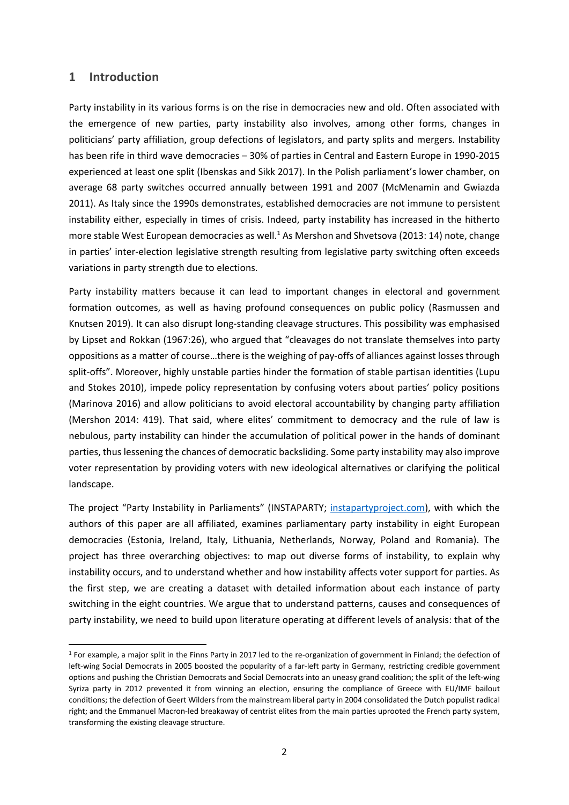## **1 Introduction**

Party instability in its various forms is on the rise in democracies new and old. Often associated with the emergence of new parties, party instability also involves, among other forms, changes in politicians' party affiliation, group defections of legislators, and party splits and mergers. Instability has been rife in third wave democracies – 30% of parties in Central and Eastern Europe in 1990-2015 experienced at least one split (Ibenskas and Sikk 2017). In the Polish parliament's lower chamber, on average 68 party switches occurred annually between 1991 and 2007 (McMenamin and Gwiazda 2011). As Italy since the 1990s demonstrates, established democracies are not immune to persistent instability either, especially in times of crisis. Indeed, party instability has increased in the hitherto more stable West European democracies as well.<sup>1</sup> As Mershon and Shvetsova (2013: 14) note, change in parties' inter‐election legislative strength resulting from legislative party switching often exceeds variations in party strength due to elections.

Party instability matters because it can lead to important changes in electoral and government formation outcomes, as well as having profound consequences on public policy (Rasmussen and Knutsen 2019). It can also disrupt long‐standing cleavage structures. This possibility was emphasised by Lipset and Rokkan (1967:26), who argued that "cleavages do not translate themselves into party oppositions as a matter of course…there is the weighing of pay‐offs of alliances against losses through split-offs". Moreover, highly unstable parties hinder the formation of stable partisan identities (Lupu and Stokes 2010), impede policy representation by confusing voters about parties' policy positions (Marinova 2016) and allow politicians to avoid electoral accountability by changing party affiliation (Mershon 2014: 419). That said, where elites' commitment to democracy and the rule of law is nebulous, party instability can hinder the accumulation of political power in the hands of dominant parties, thus lessening the chances of democratic backsliding. Some party instability may also improve voter representation by providing voters with new ideological alternatives or clarifying the political landscape.

The project "Party Instability in Parliaments" (INSTAPARTY; instapartyproject.com), with which the authors of this paper are all affiliated, examines parliamentary party instability in eight European democracies (Estonia, Ireland, Italy, Lithuania, Netherlands, Norway, Poland and Romania). The project has three overarching objectives: to map out diverse forms of instability, to explain why instability occurs, and to understand whether and how instability affects voter support for parties. As the first step, we are creating a dataset with detailed information about each instance of party switching in the eight countries. We argue that to understand patterns, causes and consequences of party instability, we need to build upon literature operating at different levels of analysis: that of the

 $1$  For example, a major split in the Finns Party in 2017 led to the re-organization of government in Finland; the defection of left-wing Social Democrats in 2005 boosted the popularity of a far-left party in Germany, restricting credible government options and pushing the Christian Democrats and Social Democrats into an uneasy grand coalition; the split of the left‐wing Syriza party in 2012 prevented it from winning an election, ensuring the compliance of Greece with EU/IMF bailout conditions; the defection of Geert Wilders from the mainstream liberal party in 2004 consolidated the Dutch populist radical right; and the Emmanuel Macron-led breakaway of centrist elites from the main parties uprooted the French party system, transforming the existing cleavage structure.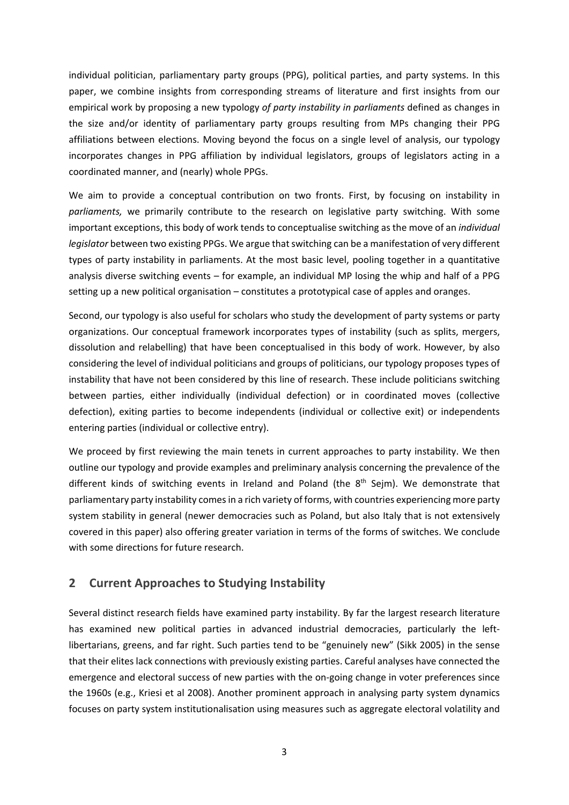individual politician, parliamentary party groups (PPG), political parties, and party systems. In this paper, we combine insights from corresponding streams of literature and first insights from our empirical work by proposing a new typology *of party instability in parliaments* defined as changes in the size and/or identity of parliamentary party groups resulting from MPs changing their PPG affiliations between elections. Moving beyond the focus on a single level of analysis, our typology incorporates changes in PPG affiliation by individual legislators, groups of legislators acting in a coordinated manner, and (nearly) whole PPGs.

We aim to provide a conceptual contribution on two fronts. First, by focusing on instability in *parliaments,* we primarily contribute to the research on legislative party switching. With some important exceptions, this body of work tends to conceptualise switching as the move of an *individual legislator* between two existing PPGs. We argue that switching can be a manifestation of very different types of party instability in parliaments. At the most basic level, pooling together in a quantitative analysis diverse switching events – for example, an individual MP losing the whip and half of a PPG setting up a new political organisation – constitutes a prototypical case of apples and oranges.

Second, our typology is also useful for scholars who study the development of party systems or party organizations. Our conceptual framework incorporates types of instability (such as splits, mergers, dissolution and relabelling) that have been conceptualised in this body of work. However, by also considering the level of individual politicians and groups of politicians, our typology proposes types of instability that have not been considered by this line of research. These include politicians switching between parties, either individually (individual defection) or in coordinated moves (collective defection), exiting parties to become independents (individual or collective exit) or independents entering parties (individual or collective entry).

We proceed by first reviewing the main tenets in current approaches to party instability. We then outline our typology and provide examples and preliminary analysis concerning the prevalence of the different kinds of switching events in Ireland and Poland (the  $8<sup>th</sup>$  Sejm). We demonstrate that parliamentary party instability comesin a rich variety of forms, with countries experiencing more party system stability in general (newer democracies such as Poland, but also Italy that is not extensively covered in this paper) also offering greater variation in terms of the forms of switches. We conclude with some directions for future research.

## **2 Current Approaches to Studying Instability**

Several distinct research fields have examined party instability. By far the largest research literature has examined new political parties in advanced industrial democracies, particularly the leftlibertarians, greens, and far right. Such parties tend to be "genuinely new" (Sikk 2005) in the sense that their elites lack connections with previously existing parties. Careful analyses have connected the emergence and electoral success of new parties with the on-going change in voter preferences since the 1960s (e.g., Kriesi et al 2008). Another prominent approach in analysing party system dynamics focuses on party system institutionalisation using measures such as aggregate electoral volatility and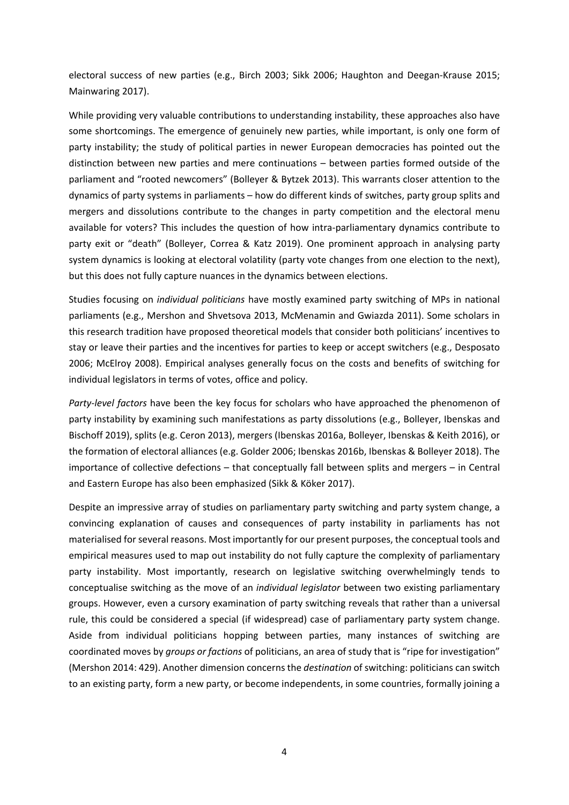electoral success of new parties (e.g., Birch 2003; Sikk 2006; Haughton and Deegan‐Krause 2015; Mainwaring 2017).

While providing very valuable contributions to understanding instability, these approaches also have some shortcomings. The emergence of genuinely new parties, while important, is only one form of party instability; the study of political parties in newer European democracies has pointed out the distinction between new parties and mere continuations – between parties formed outside of the parliament and "rooted newcomers" (Bolleyer & Bytzek 2013). This warrants closer attention to the dynamics of party systems in parliaments – how do different kinds of switches, party group splits and mergers and dissolutions contribute to the changes in party competition and the electoral menu available for voters? This includes the question of how intra‐parliamentary dynamics contribute to party exit or "death" (Bolleyer, Correa & Katz 2019). One prominent approach in analysing party system dynamics is looking at electoral volatility (party vote changes from one election to the next), but this does not fully capture nuances in the dynamics between elections.

Studies focusing on *individual politicians* have mostly examined party switching of MPs in national parliaments (e.g., Mershon and Shvetsova 2013, McMenamin and Gwiazda 2011). Some scholars in this research tradition have proposed theoretical models that consider both politicians' incentives to stay or leave their parties and the incentives for parties to keep or accept switchers (e.g., Desposato 2006; McElroy 2008). Empirical analyses generally focus on the costs and benefits of switching for individual legislators in terms of votes, office and policy.

*Party‐level factors* have been the key focus for scholars who have approached the phenomenon of party instability by examining such manifestations as party dissolutions (e.g., Bolleyer, Ibenskas and Bischoff 2019), splits (e.g. Ceron 2013), mergers (Ibenskas 2016a, Bolleyer, Ibenskas & Keith 2016), or the formation of electoral alliances (e.g. Golder 2006; Ibenskas 2016b, Ibenskas & Bolleyer 2018). The importance of collective defections – that conceptually fall between splits and mergers – in Central and Eastern Europe has also been emphasized (Sikk & Köker 2017).

Despite an impressive array of studies on parliamentary party switching and party system change, a convincing explanation of causes and consequences of party instability in parliaments has not materialised forseveral reasons. Most importantly for our present purposes, the conceptual tools and empirical measures used to map out instability do not fully capture the complexity of parliamentary party instability. Most importantly, research on legislative switching overwhelmingly tends to conceptualise switching as the move of an *individual legislator* between two existing parliamentary groups. However, even a cursory examination of party switching reveals that rather than a universal rule, this could be considered a special (if widespread) case of parliamentary party system change. Aside from individual politicians hopping between parties, many instances of switching are coordinated moves by *groups or factions* of politicians, an area of study that is "ripe for investigation" (Mershon 2014: 429). Another dimension concerns the *destination* of switching: politicians can switch to an existing party, form a new party, or become independents, in some countries, formally joining a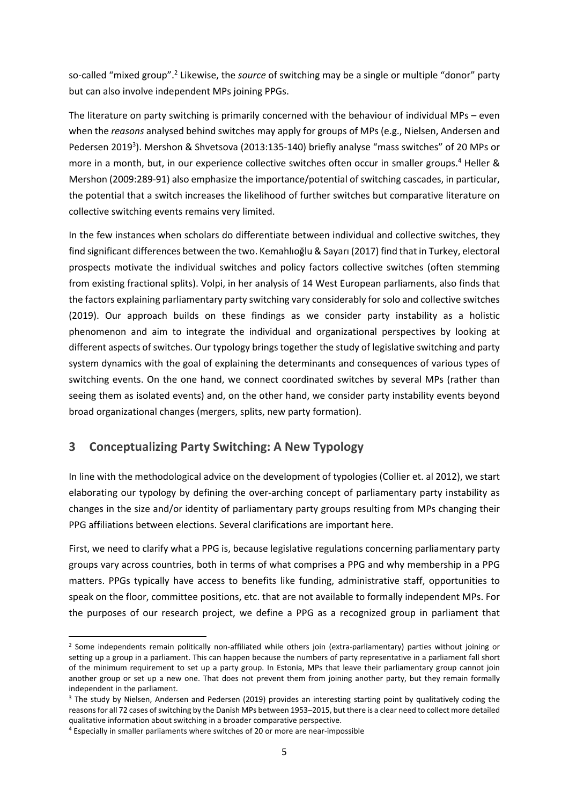so‐called "mixed group".2 Likewise, the *source* of switching may be a single or multiple "donor" party but can also involve independent MPs joining PPGs.

The literature on party switching is primarily concerned with the behaviour of individual MPs – even when the *reasons* analysed behind switches may apply for groups of MPs (e.g., Nielsen, Andersen and Pedersen 2019<sup>3</sup>). Mershon & Shvetsova (2013:135-140) briefly analyse "mass switches" of 20 MPs or more in a month, but, in our experience collective switches often occur in smaller groups.<sup>4</sup> Heller & Mershon (2009:289‐91) also emphasize the importance/potential of switching cascades, in particular, the potential that a switch increases the likelihood of further switches but comparative literature on collective switching events remains very limited.

In the few instances when scholars do differentiate between individual and collective switches, they find significant differences between the two. Kemahlıoğlu & Sayarı (2017) find that in Turkey, electoral prospects motivate the individual switches and policy factors collective switches (often stemming from existing fractional splits). Volpi, in her analysis of 14 West European parliaments, also finds that the factors explaining parliamentary party switching vary considerably for solo and collective switches (2019). Our approach builds on these findings as we consider party instability as a holistic phenomenon and aim to integrate the individual and organizational perspectives by looking at different aspects of switches. Our typology brings together the study of legislative switching and party system dynamics with the goal of explaining the determinants and consequences of various types of switching events. On the one hand, we connect coordinated switches by several MPs (rather than seeing them as isolated events) and, on the other hand, we consider party instability events beyond broad organizational changes (mergers, splits, new party formation).

# **3 Conceptualizing Party Switching: A New Typology**

In line with the methodological advice on the development of typologies (Collier et. al 2012), we start elaborating our typology by defining the over-arching concept of parliamentary party instability as changes in the size and/or identity of parliamentary party groups resulting from MPs changing their PPG affiliations between elections. Several clarifications are important here.

First, we need to clarify what a PPG is, because legislative regulations concerning parliamentary party groups vary across countries, both in terms of what comprises a PPG and why membership in a PPG matters. PPGs typically have access to benefits like funding, administrative staff, opportunities to speak on the floor, committee positions, etc. that are not available to formally independent MPs. For the purposes of our research project, we define a PPG as a recognized group in parliament that

<sup>&</sup>lt;sup>2</sup> Some independents remain politically non-affiliated while others join (extra-parliamentary) parties without joining or setting up a group in a parliament. This can happen because the numbers of party representative in a parliament fall short of the minimum requirement to set up a party group. In Estonia, MPs that leave their parliamentary group cannot join another group or set up a new one. That does not prevent them from joining another party, but they remain formally independent in the parliament.

<sup>&</sup>lt;sup>3</sup> The study by Nielsen, Andersen and Pedersen (2019) provides an interesting starting point by qualitatively coding the reasonsfor all 72 cases ofswitching by the Danish MPs between 1953–2015, but there is a clear need to collect more detailed qualitative information about switching in a broader comparative perspective.

<sup>4</sup> Especially in smaller parliaments where switches of 20 or more are near‐impossible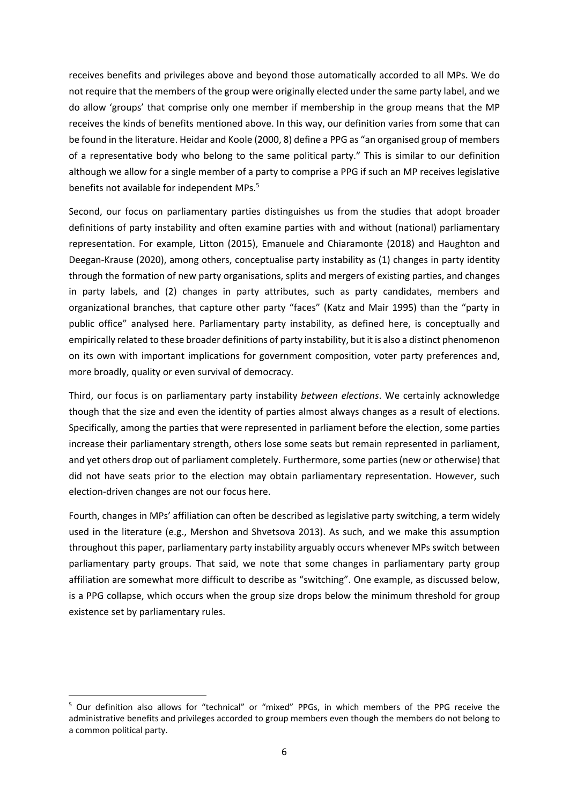receives benefits and privileges above and beyond those automatically accorded to all MPs. We do not require that the members of the group were originally elected under the same party label, and we do allow 'groups' that comprise only one member if membership in the group means that the MP receives the kinds of benefits mentioned above. In this way, our definition varies from some that can be found in the literature. Heidar and Koole (2000, 8) define a PPG as "an organised group of members of a representative body who belong to the same political party." This is similar to our definition although we allow for a single member of a party to comprise a PPG if such an MP receives legislative benefits not available for independent MPs.<sup>5</sup>

Second, our focus on parliamentary parties distinguishes us from the studies that adopt broader definitions of party instability and often examine parties with and without (national) parliamentary representation. For example, Litton (2015), Emanuele and Chiaramonte (2018) and Haughton and Deegan‐Krause (2020), among others, conceptualise party instability as (1) changes in party identity through the formation of new party organisations, splits and mergers of existing parties, and changes in party labels, and (2) changes in party attributes, such as party candidates, members and organizational branches, that capture other party "faces" (Katz and Mair 1995) than the "party in public office" analysed here. Parliamentary party instability, as defined here, is conceptually and empirically related to these broader definitions of party instability, but it is also a distinct phenomenon on its own with important implications for government composition, voter party preferences and, more broadly, quality or even survival of democracy.

Third, our focus is on parliamentary party instability *between elections*. We certainly acknowledge though that the size and even the identity of parties almost always changes as a result of elections. Specifically, among the parties that were represented in parliament before the election, some parties increase their parliamentary strength, others lose some seats but remain represented in parliament, and yet others drop out of parliament completely. Furthermore, some parties (new or otherwise) that did not have seats prior to the election may obtain parliamentary representation. However, such election‐driven changes are not our focus here.

Fourth, changes in MPs' affiliation can often be described as legislative party switching, a term widely used in the literature (e.g., Mershon and Shvetsova 2013). As such, and we make this assumption throughout this paper, parliamentary party instability arguably occurs whenever MPs switch between parliamentary party groups. That said, we note that some changes in parliamentary party group affiliation are somewhat more difficult to describe as "switching". One example, as discussed below, is a PPG collapse, which occurs when the group size drops below the minimum threshold for group existence set by parliamentary rules.

<sup>5</sup> Our definition also allows for "technical" or "mixed" PPGs, in which members of the PPG receive the administrative benefits and privileges accorded to group members even though the members do not belong to a common political party.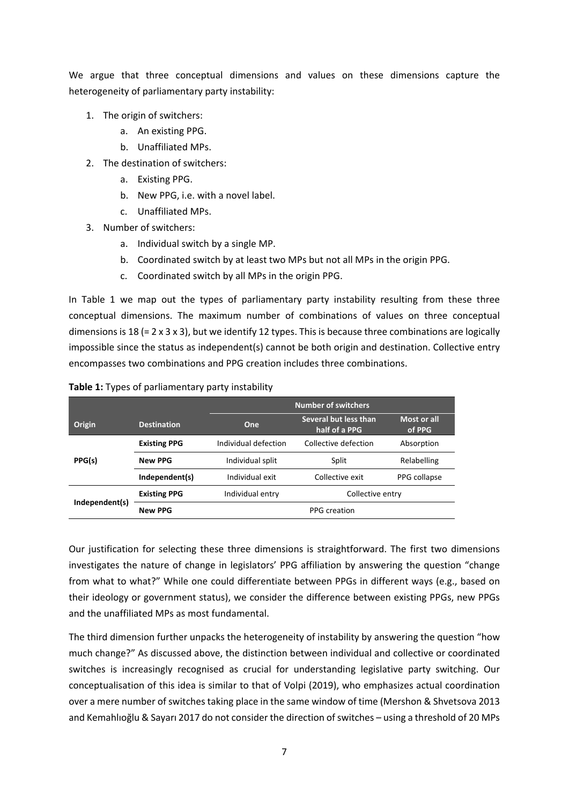We argue that three conceptual dimensions and values on these dimensions capture the heterogeneity of parliamentary party instability:

- 1. The origin of switchers:
	- a. An existing PPG.
	- b. Unaffiliated MPs.
- 2. The destination of switchers:
	- a. Existing PPG.
	- b. New PPG, i.e. with a novel label.
	- c. Unaffiliated MPs.
- 3. Number of switchers:
	- a. Individual switch by a single MP.
	- b. Coordinated switch by at least two MPs but not all MPs in the origin PPG.
	- c. Coordinated switch by all MPs in the origin PPG.

In Table 1 we map out the types of parliamentary party instability resulting from these three conceptual dimensions. The maximum number of combinations of values on three conceptual dimensions is 18 (= 2 x 3 x 3), but we identify 12 types. This is because three combinations are logically impossible since the status as independent(s) cannot be both origin and destination. Collective entry encompasses two combinations and PPG creation includes three combinations.

|                |                     | <b>Number of switchers</b>           |                                        |                       |  |
|----------------|---------------------|--------------------------------------|----------------------------------------|-----------------------|--|
| Origin         | <b>Destination</b>  | One                                  | Several but less than<br>half of a PPG | Most or all<br>of PPG |  |
|                | <b>Existing PPG</b> | Individual defection                 | Collective defection                   | Absorption            |  |
| PPG(s)         | <b>New PPG</b>      | Individual split                     | Split                                  | Relabelling           |  |
|                | Independent(s)      | Individual exit                      | Collective exit                        | PPG collapse          |  |
|                | <b>Existing PPG</b> | Individual entry<br>Collective entry |                                        |                       |  |
| Independent(s) | <b>New PPG</b>      |                                      | PPG creation                           |                       |  |

**Table 1:** Types of parliamentary party instability

Our justification for selecting these three dimensions is straightforward. The first two dimensions investigates the nature of change in legislators' PPG affiliation by answering the question "change from what to what?" While one could differentiate between PPGs in different ways (e.g., based on their ideology or government status), we consider the difference between existing PPGs, new PPGs and the unaffiliated MPs as most fundamental.

The third dimension further unpacks the heterogeneity of instability by answering the question "how much change?" As discussed above, the distinction between individual and collective or coordinated switches is increasingly recognised as crucial for understanding legislative party switching. Our conceptualisation of this idea is similar to that of Volpi (2019), who emphasizes actual coordination over a mere number of switches taking place in the same window of time (Mershon & Shvetsova 2013 and Kemahlıoğlu & Sayarı 2017 do not consider the direction of switches – using a threshold of 20 MPs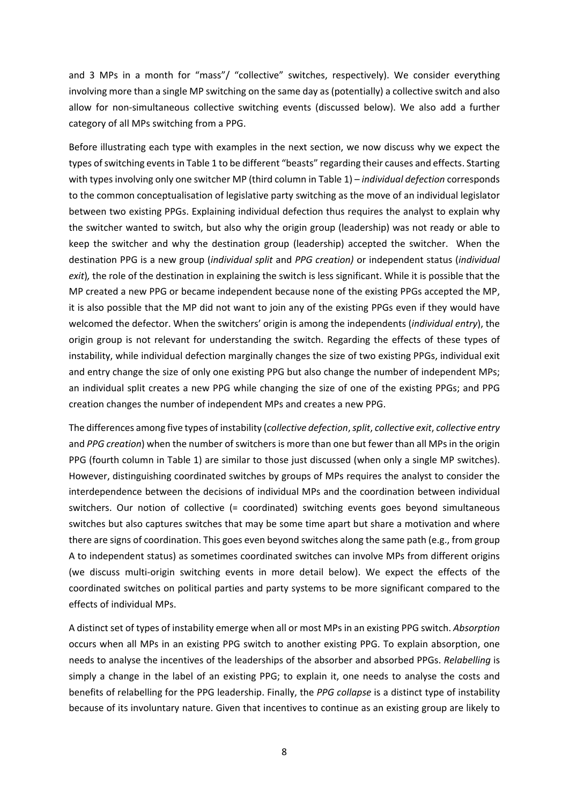and 3 MPs in a month for "mass"/ "collective" switches, respectively). We consider everything involving more than a single MP switching on the same day as (potentially) a collective switch and also allow for non-simultaneous collective switching events (discussed below). We also add a further category of all MPs switching from a PPG.

Before illustrating each type with examples in the next section, we now discuss why we expect the types ofswitching eventsin Table 1 to be different "beasts" regarding their causes and effects. Starting with typesinvolving only one switcher MP (third column in Table 1) – *individual defection* corresponds to the common conceptualisation of legislative party switching as the move of an individual legislator between two existing PPGs. Explaining individual defection thus requires the analyst to explain why the switcher wanted to switch, but also why the origin group (leadership) was not ready or able to keep the switcher and why the destination group (leadership) accepted the switcher. When the destination PPG is a new group (*individual split* and *PPG creation)* or independent status (*individual exit*)*,* the role of the destination in explaining the switch is less significant. While it is possible that the MP created a new PPG or became independent because none of the existing PPGs accepted the MP, it is also possible that the MP did not want to join any of the existing PPGs even if they would have welcomed the defector. When the switchers' origin is among the independents (*individual entry*), the origin group is not relevant for understanding the switch. Regarding the effects of these types of instability, while individual defection marginally changes the size of two existing PPGs, individual exit and entry change the size of only one existing PPG but also change the number of independent MPs; an individual split creates a new PPG while changing the size of one of the existing PPGs; and PPG creation changes the number of independent MPs and creates a new PPG.

The differences among five types of instability (*collective defection*,*split*, *collective exit*, *collective entry* and *PPG* creation) when the number of switchers is more than one but fewer than all MPs in the origin PPG (fourth column in Table 1) are similar to those just discussed (when only a single MP switches). However, distinguishing coordinated switches by groups of MPs requires the analyst to consider the interdependence between the decisions of individual MPs and the coordination between individual switchers. Our notion of collective (= coordinated) switching events goes beyond simultaneous switches but also captures switches that may be some time apart but share a motivation and where there are signs of coordination. This goes even beyond switches along the same path (e.g., from group A to independent status) as sometimes coordinated switches can involve MPs from different origins (we discuss multi-origin switching events in more detail below). We expect the effects of the coordinated switches on political parties and party systems to be more significant compared to the effects of individual MPs.

A distinct set of types of instability emerge when all or most MPs in an existing PPG switch. *Absorption* occurs when all MPs in an existing PPG switch to another existing PPG. To explain absorption, one needs to analyse the incentives of the leaderships of the absorber and absorbed PPGs. *Relabelling* is simply a change in the label of an existing PPG; to explain it, one needs to analyse the costs and benefits of relabelling for the PPG leadership. Finally, the *PPG collapse* is a distinct type of instability because of its involuntary nature. Given that incentives to continue as an existing group are likely to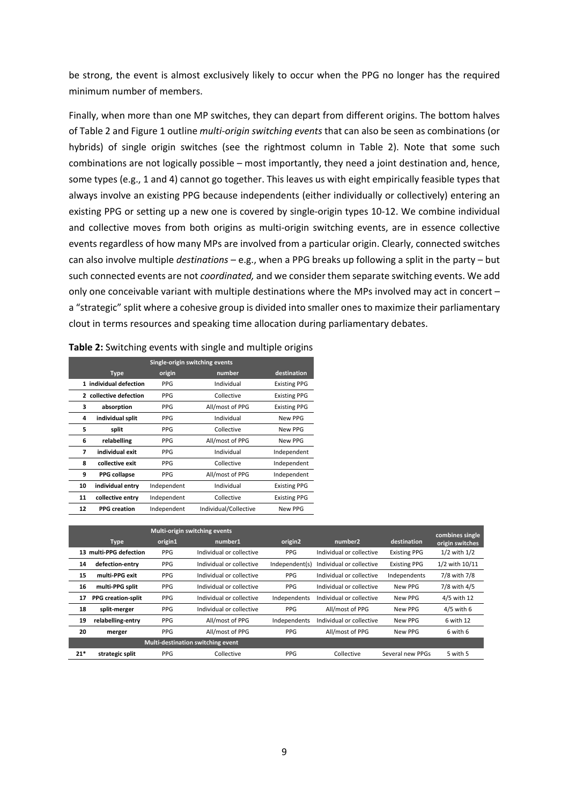be strong, the event is almost exclusively likely to occur when the PPG no longer has the required minimum number of members.

Finally, when more than one MP switches, they can depart from different origins. The bottom halves of Table 2 and Figure 1 outline *multi‐origin switching events* that can also be seen as combinations (or hybrids) of single origin switches (see the rightmost column in Table 2). Note that some such combinations are not logically possible – most importantly, they need a joint destination and, hence, some types (e.g., 1 and 4) cannot go together. This leaves us with eight empirically feasible types that always involve an existing PPG because independents (either individually or collectively) entering an existing PPG or setting up a new one is covered by single-origin types 10-12. We combine individual and collective moves from both origins as multi‐origin switching events, are in essence collective events regardless of how many MPs are involved from a particular origin. Clearly, connected switches can also involve multiple *destinations* – e.g., when a PPG breaks up following a split in the party – but such connected events are not *coordinated,* and we consider them separate switching events. We add only one conceivable variant with multiple destinations where the MPs involved may act in concert – a "strategic" split where a cohesive group is divided into smaller ones to maximize their parliamentary clout in terms resources and speaking time allocation during parliamentary debates.

|    | Single-origin switching events |             |                       |                     |  |  |  |
|----|--------------------------------|-------------|-----------------------|---------------------|--|--|--|
|    | <b>Type</b>                    | origin      | number                | destination         |  |  |  |
|    | 1 individual defection         | <b>PPG</b>  | Individual            | <b>Existing PPG</b> |  |  |  |
|    | 2 collective defection         | <b>PPG</b>  | Collective            | <b>Existing PPG</b> |  |  |  |
| з  | absorption                     | <b>PPG</b>  | All/most of PPG       | <b>Existing PPG</b> |  |  |  |
| 4  | individual split               | <b>PPG</b>  | Individual            | New PPG             |  |  |  |
| 5  | split                          | <b>PPG</b>  | Collective            | New PPG             |  |  |  |
| 6  | relabelling                    | <b>PPG</b>  | All/most of PPG       | New PPG             |  |  |  |
| 7  | individual exit                | <b>PPG</b>  | Individual            | Independent         |  |  |  |
| 8  | collective exit                | <b>PPG</b>  | Collective            | Independent         |  |  |  |
| 9  | <b>PPG</b> collapse            | <b>PPG</b>  | All/most of PPG       | Independent         |  |  |  |
| 10 | individual entry               | Independent | Individual            | <b>Existing PPG</b> |  |  |  |
| 11 | collective entry               | Independent | Collective            | <b>Existing PPG</b> |  |  |  |
| 12 | <b>PPG</b> creation            | Independent | Individual/Collective | New PPG             |  |  |  |

| Table 2: Switching events with single and multiple origins |  |  |  |  |
|------------------------------------------------------------|--|--|--|--|
|------------------------------------------------------------|--|--|--|--|

|       | Multi-origin switching events |            |                                          |                     |                          |                     |                                    |
|-------|-------------------------------|------------|------------------------------------------|---------------------|--------------------------|---------------------|------------------------------------|
|       | <b>Type</b>                   | origin1    | number1                                  | origin <sub>2</sub> | number <sub>2</sub>      | destination         | combines single<br>origin switches |
|       | 13 multi-PPG defection        | PPG        | Individual or collective                 | <b>PPG</b>          | Individual or collective | <b>Existing PPG</b> | $1/2$ with $1/2$                   |
| 14    | defection-entry               | <b>PPG</b> | Individual or collective                 | Independent(s)      | Individual or collective | <b>Existing PPG</b> | 1/2 with 10/11                     |
| 15    | multi-PPG exit                | PPG        | Individual or collective                 | <b>PPG</b>          | Individual or collective | Independents        | 7/8 with 7/8                       |
| 16    | multi-PPG split               | <b>PPG</b> | Individual or collective                 | <b>PPG</b>          | Individual or collective | New PPG             | 7/8 with 4/5                       |
| 17    | <b>PPG</b> creation-split     | PPG        | Individual or collective                 | Independents        | Individual or collective | New PPG             | 4/5 with 12                        |
| 18    | split-merger                  | PPG        | Individual or collective                 | PPG                 | All/most of PPG          | New PPG             | $4/5$ with 6                       |
| 19    | relabelling-entry             | PPG        | All/most of PPG                          | Independents        | Individual or collective | New PPG             | 6 with 12                          |
| 20    | merger                        | <b>PPG</b> | All/most of PPG                          | PPG                 | All/most of PPG          | New PPG             | 6 with 6                           |
|       |                               |            | <b>Multi-destination switching event</b> |                     |                          |                     |                                    |
| $21*$ | strategic split               | PPG        | Collective                               | PPG                 | Collective               | Several new PPGs    | 5 with 5                           |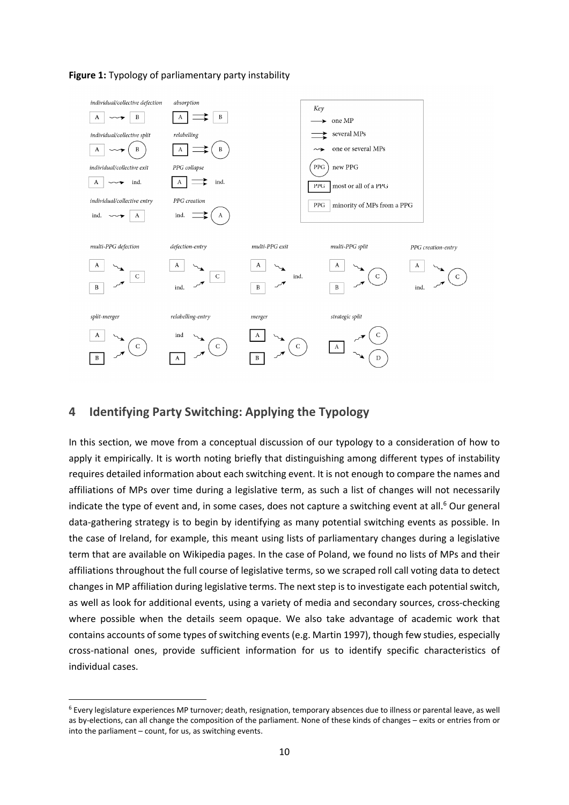



## **4 Identifying Party Switching: Applying the Typology**

In this section, we move from a conceptual discussion of our typology to a consideration of how to apply it empirically. It is worth noting briefly that distinguishing among different types of instability requires detailed information about each switching event. It is not enough to compare the names and affiliations of MPs over time during a legislative term, as such a list of changes will not necessarily indicate the type of event and, in some cases, does not capture a switching event at all.<sup>6</sup> Our general data‐gathering strategy is to begin by identifying as many potential switching events as possible. In the case of Ireland, for example, this meant using lists of parliamentary changes during a legislative term that are available on Wikipedia pages. In the case of Poland, we found no lists of MPs and their affiliations throughout the full course of legislative terms, so we scraped roll call voting data to detect changes in MP affiliation during legislative terms. The next step is to investigate each potential switch, as well as look for additional events, using a variety of media and secondary sources, cross-checking where possible when the details seem opaque. We also take advantage of academic work that contains accounts of some types of switching events (e.g. Martin 1997), though few studies, especially cross‐national ones, provide sufficient information for us to identify specific characteristics of individual cases.

<sup>6</sup> Every legislature experiences MP turnover; death, resignation, temporary absences due to illness or parental leave, as well as by-elections, can all change the composition of the parliament. None of these kinds of changes – exits or entries from or into the parliament – count, for us, as switching events.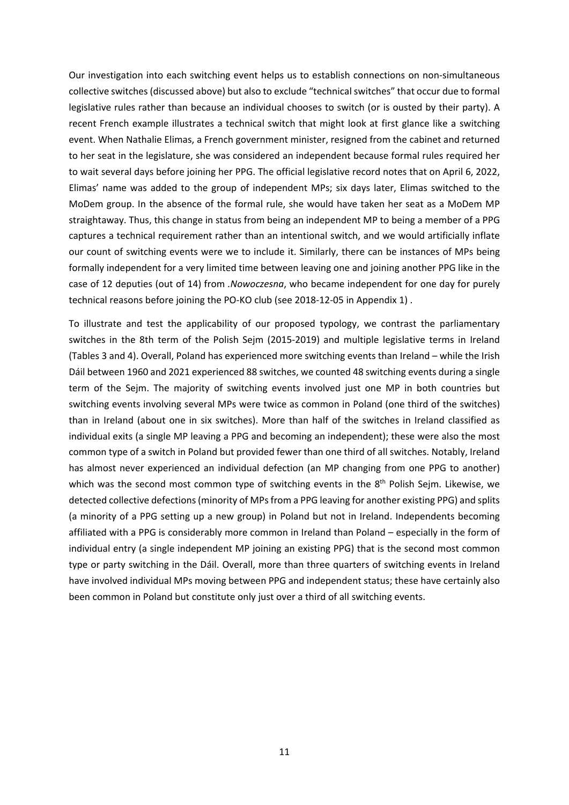Our investigation into each switching event helps us to establish connections on non‐simultaneous collective switches(discussed above) but also to exclude "technical switches" that occur due to formal legislative rules rather than because an individual chooses to switch (or is ousted by their party). A recent French example illustrates a technical switch that might look at first glance like a switching event. When Nathalie Elimas, a French government minister, resigned from the cabinet and returned to her seat in the legislature, she was considered an independent because formal rules required her to wait several days before joining her PPG. The official legislative record notes that on April 6, 2022, Elimas' name was added to the group of independent MPs; six days later, Elimas switched to the MoDem group. In the absence of the formal rule, she would have taken her seat as a MoDem MP straightaway. Thus, this change in status from being an independent MP to being a member of a PPG captures a technical requirement rather than an intentional switch, and we would artificially inflate our count of switching events were we to include it. Similarly, there can be instances of MPs being formally independent for a very limited time between leaving one and joining another PPG like in the case of 12 deputies (out of 14) from *.Nowoczesna*, who became independent for one day for purely technical reasons before joining the PO‐KO club (see 2018‐12‐05 in Appendix 1) .

To illustrate and test the applicability of our proposed typology, we contrast the parliamentary switches in the 8th term of the Polish Sejm (2015‐2019) and multiple legislative terms in Ireland (Tables 3 and 4). Overall, Poland has experienced more switching events than Ireland – while the Irish Dáil between 1960 and 2021 experienced 88 switches, we counted 48 switching events during a single term of the Sejm. The majority of switching events involved just one MP in both countries but switching events involving several MPs were twice as common in Poland (one third of the switches) than in Ireland (about one in six switches). More than half of the switches in Ireland classified as individual exits (a single MP leaving a PPG and becoming an independent); these were also the most common type of a switch in Poland but provided fewer than one third of all switches. Notably, Ireland has almost never experienced an individual defection (an MP changing from one PPG to another) which was the second most common type of switching events in the  $8<sup>th</sup>$  Polish Sejm. Likewise, we detected collective defections (minority of MPs from a PPG leaving for another existing PPG) and splits (a minority of a PPG setting up a new group) in Poland but not in Ireland. Independents becoming affiliated with a PPG is considerably more common in Ireland than Poland – especially in the form of individual entry (a single independent MP joining an existing PPG) that is the second most common type or party switching in the Dáil. Overall, more than three quarters of switching events in Ireland have involved individual MPs moving between PPG and independent status; these have certainly also been common in Poland but constitute only just over a third of all switching events.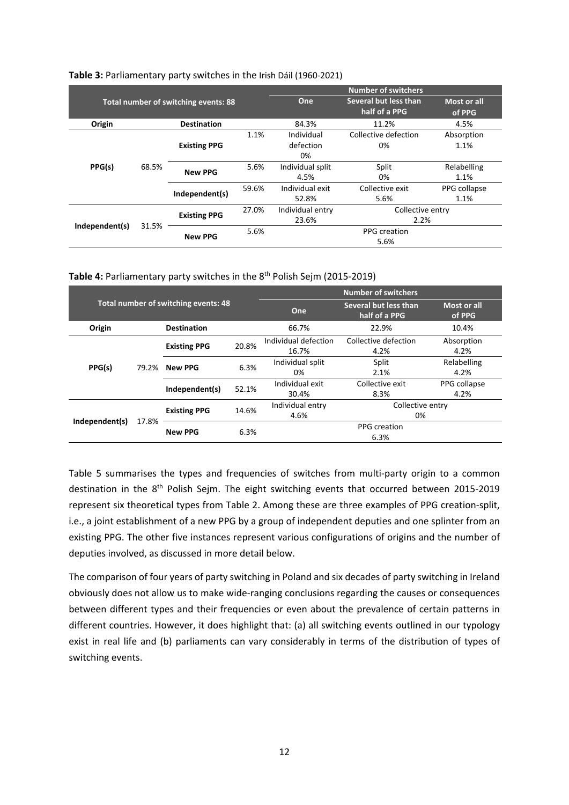|                |       |                                             |       | <b>Number of switchers</b> |                                        |                       |  |
|----------------|-------|---------------------------------------------|-------|----------------------------|----------------------------------------|-----------------------|--|
|                |       | <b>Total number of switching events: 88</b> |       | One                        | Several but less than<br>half of a PPG | Most or all<br>of PPG |  |
| Origin         |       | <b>Destination</b>                          |       | 84.3%                      | 11.2%                                  | 4.5%                  |  |
|                |       |                                             | 1.1%  | Individual                 | Collective defection                   | Absorption            |  |
|                | 68.5% | <b>Existing PPG</b>                         |       | defection                  | 0%                                     | 1.1%                  |  |
| PPG(s)         |       |                                             |       | 0%                         |                                        |                       |  |
|                |       | <b>New PPG</b><br>Independent(s)            | 5.6%  | Individual split           | Split                                  | Relabelling           |  |
|                |       |                                             |       | 4.5%                       | 0%                                     | 1.1%                  |  |
|                |       |                                             | 59.6% | Individual exit            | Collective exit                        | PPG collapse          |  |
|                |       |                                             |       | 52.8%                      | 5.6%                                   | 1.1%                  |  |
|                | 31.5% |                                             | 27.0% | Individual entry           | Collective entry                       |                       |  |
|                |       | <b>Existing PPG</b>                         |       | 23.6%                      | 2.2%                                   |                       |  |
| Independent(s) |       | <b>New PPG</b>                              | 5.6%  |                            | PPG creation                           |                       |  |
|                |       |                                             |       | 5.6%                       |                                        |                       |  |

#### **Table 3:** Parliamentary party switches in the Irish Dáil (1960‐2021)

Table 4: Parliamentary party switches in the 8<sup>th</sup> Polish Sejm (2015-2019)

|                                      |                     |                     |       | <b>Number of switchers</b>             |                              |                      |  |
|--------------------------------------|---------------------|---------------------|-------|----------------------------------------|------------------------------|----------------------|--|
| Total number of switching events: 48 |                     |                     | One   | Several but less than<br>half of a PPG | Most or all<br>of PPG        |                      |  |
| Origin                               |                     | <b>Destination</b>  |       | 66.7%                                  | 22.9%                        | 10.4%                |  |
|                                      | <b>Existing PPG</b> |                     | 20.8% | Individual defection<br>16.7%          | Collective defection<br>4.2% | Absorption<br>4.2%   |  |
| PPG(s)                               | 79.2%               | <b>New PPG</b>      | 6.3%  | Individual split<br>0%                 | Split<br>2.1%                | Relabelling<br>4.2%  |  |
|                                      |                     | Independent(s)      | 52.1% | Individual exit<br>30.4%               | Collective exit<br>8.3%      | PPG collapse<br>4.2% |  |
| Independent(s)                       | 17.8%               | <b>Existing PPG</b> | 14.6% | Individual entry<br>4.6%               | Collective entry<br>0%       |                      |  |
|                                      |                     | <b>New PPG</b>      | 6.3%  |                                        | PPG creation<br>6.3%         |                      |  |

Table 5 summarises the types and frequencies of switches from multi-party origin to a common destination in the 8<sup>th</sup> Polish Sejm. The eight switching events that occurred between 2015-2019 represent six theoretical types from Table 2. Among these are three examples of PPG creation‐split, i.e., a joint establishment of a new PPG by a group of independent deputies and one splinter from an existing PPG. The other five instances represent various configurations of origins and the number of deputies involved, as discussed in more detail below.

The comparison of four years of party switching in Poland and six decades of party switching in Ireland obviously does not allow us to make wide‐ranging conclusions regarding the causes or consequences between different types and their frequencies or even about the prevalence of certain patterns in different countries. However, it does highlight that: (a) all switching events outlined in our typology exist in real life and (b) parliaments can vary considerably in terms of the distribution of types of switching events.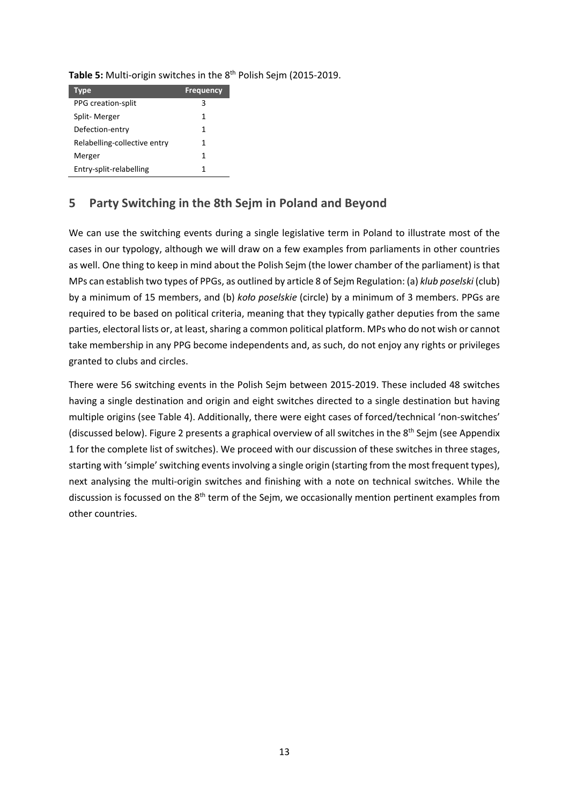| Type                         | <b>Frequency</b> |
|------------------------------|------------------|
| <b>PPG</b> creation-split    | 3                |
| Split-Merger                 | 1                |
| Defection-entry              | 1                |
| Relabelling-collective entry | 1                |
| Merger                       | 1                |
| Entry-split-relabelling      | 1                |

# **5 Party Switching in the 8th Sejm in Poland and Beyond**

We can use the switching events during a single legislative term in Poland to illustrate most of the cases in our typology, although we will draw on a few examples from parliaments in other countries as well. One thing to keep in mind about the Polish Sejm (the lower chamber of the parliament) is that MPs can establish two types of PPGs, as outlined by article 8 of Sejm Regulation: (a) *klub poselski* (club) by a minimum of 15 members, and (b) *koło poselskie* (circle) by a minimum of 3 members. PPGs are required to be based on political criteria, meaning that they typically gather deputies from the same parties, electoral lists or, at least, sharing a common political platform. MPs who do not wish or cannot take membership in any PPG become independents and, as such, do not enjoy any rights or privileges granted to clubs and circles.

There were 56 switching events in the Polish Sejm between 2015‐2019. These included 48 switches having a single destination and origin and eight switches directed to a single destination but having multiple origins (see Table 4). Additionally, there were eight cases of forced/technical 'non‐switches' (discussed below). Figure 2 presents a graphical overview of all switches in the 8<sup>th</sup> Sejm (see Appendix 1 for the complete list of switches). We proceed with our discussion of these switches in three stages, starting with 'simple' switching events involving a single origin (starting from the most frequent types), next analysing the multi-origin switches and finishing with a note on technical switches. While the discussion is focussed on the 8<sup>th</sup> term of the Sejm, we occasionally mention pertinent examples from other countries.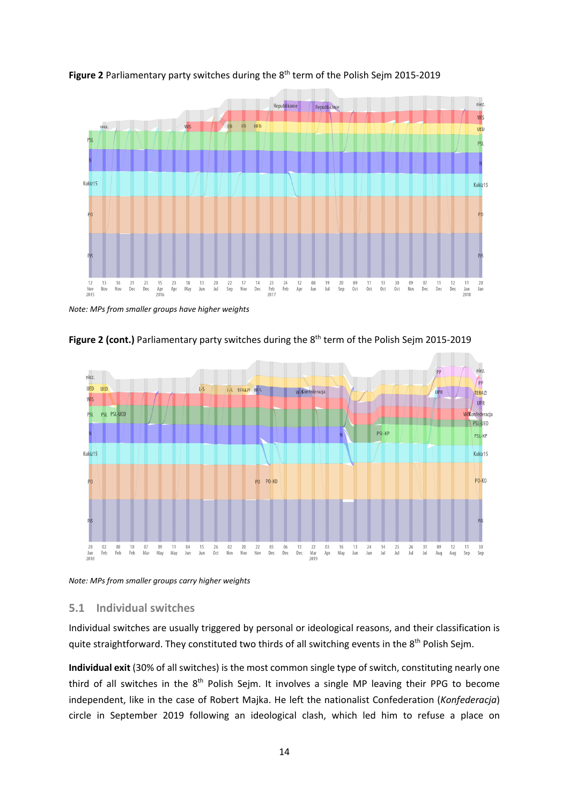

**Figure 2** Parliamentary party switches during the 8th term of the Polish Sejm 2015‐2019

*Note: MPs from smaller groups have higher weights*



**Figure 2 (cont.)** Parliamentary party switches during the 8th term of the Polish Sejm 2015‐2019

*Note: MPs from smaller groups carry higher weights*

## **5.1 Individual switches**

Individual switches are usually triggered by personal or ideological reasons, and their classification is quite straightforward. They constituted two thirds of all switching events in the 8<sup>th</sup> Polish Sejm.

**Individual exit** (30% of all switches) is the most common single type of switch, constituting nearly one third of all switches in the  $8<sup>th</sup>$  Polish Sejm. It involves a single MP leaving their PPG to become independent, like in the case of Robert Majka. He left the nationalist Confederation (*Konfederacja*) circle in September 2019 following an ideological clash, which led him to refuse a place on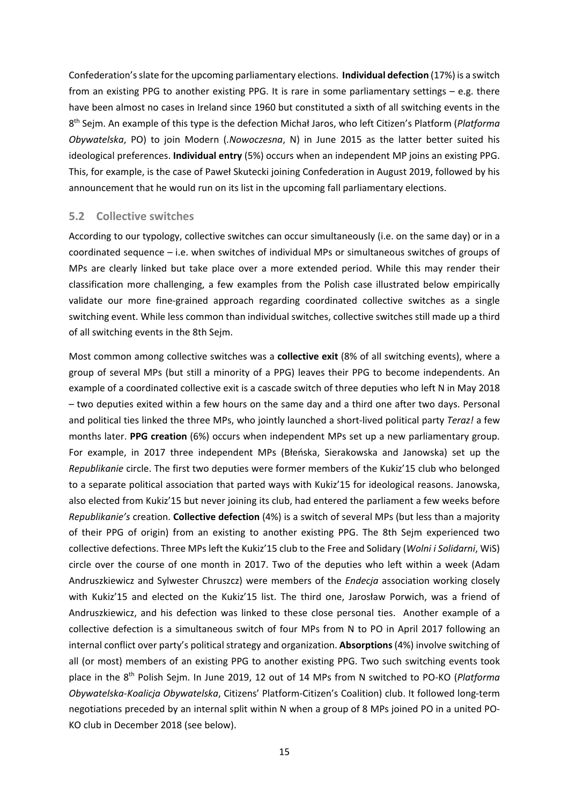Confederation'sslate for the upcoming parliamentary elections. **Individual defection** (17%) is a switch from an existing PPG to another existing PPG. It is rare in some parliamentary settings – e.g. there have been almost no cases in Ireland since 1960 but constituted a sixth of all switching events in the 8th Sejm. An example of this type is the defection Michał Jaros, who left Citizen's Platform (*Platforma Obywatelska*, PO) to join Modern (*.Nowoczesna*, N) in June 2015 as the latter better suited his ideological preferences. **Individual entry** (5%) occurs when an independent MP joins an existing PPG. This, for example, is the case of Paweł Skutecki joining Confederation in August 2019, followed by his announcement that he would run on its list in the upcoming fall parliamentary elections.

#### **5.2 Collective switches**

According to our typology, collective switches can occur simultaneously (i.e. on the same day) or in a coordinated sequence – i.e. when switches of individual MPs or simultaneous switches of groups of MPs are clearly linked but take place over a more extended period. While this may render their classification more challenging, a few examples from the Polish case illustrated below empirically validate our more fine‐grained approach regarding coordinated collective switches as a single switching event. While less common than individual switches, collective switches still made up a third of all switching events in the 8th Sejm.

Most common among collective switches was a **collective exit** (8% of all switching events), where a group of several MPs (but still a minority of a PPG) leaves their PPG to become independents. An example of a coordinated collective exit is a cascade switch of three deputies who left N in May 2018 – two deputies exited within a few hours on the same day and a third one after two days. Personal and political ties linked the three MPs, who jointly launched a short‐lived political party *Teraz!* a few months later. **PPG creation** (6%) occurs when independent MPs set up a new parliamentary group. For example, in 2017 three independent MPs (Błeńska, Sierakowska and Janowska) set up the *Republikanie* circle. The first two deputies were former members of the Kukiz'15 club who belonged to a separate political association that parted ways with Kukiz'15 for ideological reasons. Janowska, also elected from Kukiz'15 but never joining its club, had entered the parliament a few weeks before *Republikanie's* creation. **Collective defection** (4%) is a switch of several MPs (but less than a majority of their PPG of origin) from an existing to another existing PPG. The 8th Sejm experienced two collective defections. Three MPs left the Kukiz'15 club to the Free and Solidary (*Wolni i Solidarni*, WiS) circle over the course of one month in 2017. Two of the deputies who left within a week (Adam Andruszkiewicz and Sylwester Chruszcz) were members of the *Endecja* association working closely with Kukiz'15 and elected on the Kukiz'15 list. The third one, Jarosław Porwich, was a friend of Andruszkiewicz, and his defection was linked to these close personal ties. Another example of a collective defection is a simultaneous switch of four MPs from N to PO in April 2017 following an internal conflict over party's political strategy and organization. **Absorptions** (4%) involve switching of all (or most) members of an existing PPG to another existing PPG. Two such switching events took place in the 8<sup>th</sup> Polish Sejm. In June 2019, 12 out of 14 MPs from N switched to PO-KO (*Platforma Obywatelska‐Koalicja Obywatelska*, Citizens' Platform‐Citizen's Coalition) club. It followed long‐term negotiations preceded by an internal split within N when a group of 8 MPs joined PO in a united PO‐ KO club in December 2018 (see below).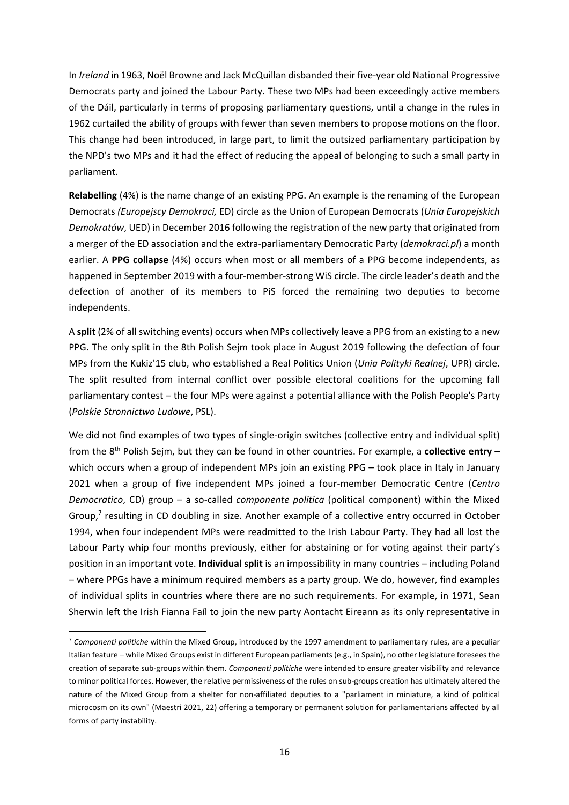In *Ireland* in 1963, Noël Browne and Jack McQuillan disbanded their five‐year old National Progressive Democrats party and joined the Labour Party. These two MPs had been exceedingly active members of the Dáil, particularly in terms of proposing parliamentary questions, until a change in the rules in 1962 curtailed the ability of groups with fewer than seven members to propose motions on the floor. This change had been introduced, in large part, to limit the outsized parliamentary participation by the NPD's two MPs and it had the effect of reducing the appeal of belonging to such a small party in parliament.

**Relabelling** (4%) is the name change of an existing PPG. An example is the renaming of the European Democrats *(Europejscy Demokraci,* ED) circle as the Union of European Democrats (*Unia Europejskich Demokratów*, UED) in December 2016 following the registration of the new party that originated from a merger of the ED association and the extra‐parliamentary Democratic Party (*demokraci.pl*) a month earlier. A **PPG collapse** (4%) occurs when most or all members of a PPG become independents, as happened in September 2019 with a four-member-strong WiS circle. The circle leader's death and the defection of another of its members to PiS forced the remaining two deputies to become independents.

A **split** (2% of all switching events) occurs when MPs collectively leave a PPG from an existing to a new PPG. The only split in the 8th Polish Sejm took place in August 2019 following the defection of four MPs from the Kukiz'15 club, who established a Real Politics Union (*Unia Polityki Realnej*, UPR) circle. The split resulted from internal conflict over possible electoral coalitions for the upcoming fall parliamentary contest – the four MPs were against a potential alliance with the Polish People's Party (*Polskie Stronnictwo Ludowe*, PSL).

We did not find examples of two types of single-origin switches (collective entry and individual split) from the 8th Polish Sejm, but they can be found in other countries. For example, a **collective entry** – which occurs when a group of independent MPs join an existing PPG – took place in Italy in January 2021 when a group of five independent MPs joined a four‐member Democratic Centre (*Centro Democratico*, CD) group – a so-called *componente politica* (political component) within the Mixed Group, $^7$  resulting in CD doubling in size. Another example of a collective entry occurred in October 1994, when four independent MPs were readmitted to the Irish Labour Party. They had all lost the Labour Party whip four months previously, either for abstaining or for voting against their party's position in an important vote. **Individual split** is an impossibility in many countries – including Poland – where PPGs have a minimum required members as a party group. We do, however, find examples of individual splits in countries where there are no such requirements. For example, in 1971, Sean Sherwin left the Irish Fianna Faíl to join the new party Aontacht Eireann as its only representative in

<sup>7</sup> *Componenti politiche* within the Mixed Group, introduced by the 1997 amendment to parliamentary rules, are a peculiar Italian feature – while Mixed Groups exist in different European parliaments (e.g., in Spain), no other legislature foresees the creation of separate sub‐groups within them. *Componenti politiche* were intended to ensure greater visibility and relevance to minor political forces. However, the relative permissiveness of the rules on sub-groups creation has ultimately altered the nature of the Mixed Group from a shelter for non-affiliated deputies to a "parliament in miniature, a kind of political microcosm on its own" (Maestri 2021, 22) offering a temporary or permanent solution for parliamentarians affected by all forms of party instability.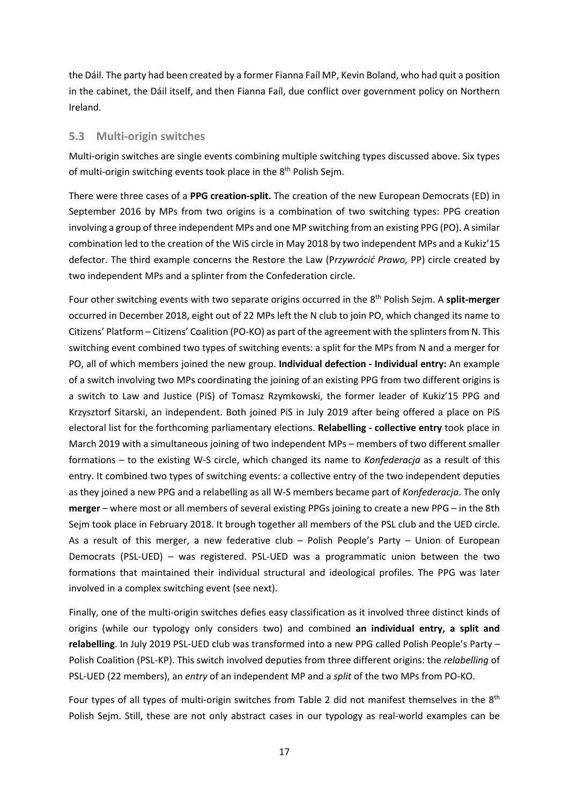the Dáil. The party had been created by a former Fianna Faíl MP, Kevin Boland, who had quit a position in the cabinet, the Dáil itself, and then Fianna Faíl, due conflict over government policy on Northern Ireland.

#### **5.3 Multi‐origin switches**

Multi-origin switches are single events combining multiple switching types discussed above. Six types of multi-origin switching events took place in the 8<sup>th</sup> Polish Sejm.

There were three cases of a **PPG creation‐split.** The creation of the new European Democrats (ED) in September 2016 by MPs from two origins is a combination of two switching types: PPG creation involving a group of three independent MPs and one MP switching from an existing PPG (PO). A similar combination led to the creation of the WiS circle in May 2018 by two independent MPs and a Kukiz'15 defector. The third example concerns the Restore the Law (P*rzywrócić Prawo,* PP) circle created by two independent MPs and a splinter from the Confederation circle.

Four other switching events with two separate origins occurred in the 8th Polish Sejm. A **split‐merger** occurred in December 2018, eight out of 22 MPs left the N club to join PO, which changed its name to Citizens' Platform – Citizens' Coalition (PO-KO) as part of the agreement with the splinters from N. This switching event combined two types of switching events: a split for the MPs from N and a merger for PO, all of which members joined the new group. **Individual defection ‐ Individual entry:** An example of a switch involving two MPs coordinating the joining of an existing PPG from two different origins is a switch to Law and Justice (PiS) of Tomasz Rzymkowski, the former leader of Kukiz'15 PPG and Krzysztorf Sitarski, an independent. Both joined PiS in July 2019 after being offered a place on PiS electoral list for the forthcoming parliamentary elections. **Relabelling ‐ collective entry** took place in March 2019 with a simultaneous joining of two independent MPs – members of two different smaller formations – to the existing W‐S circle, which changed its name to *Konfederacja* as a result of this entry. It combined two types of switching events: a collective entry of the two independent deputies as they joined a new PPG and a relabelling as all W‐S members became part of *Konfederacja*. The only **merger** – where most or all members of several existing PPGs joining to create a new PPG – in the 8th Sejm took place in February 2018. It brough together all members of the PSL club and the UED circle. As a result of this merger, a new federative club – Polish People's Party – Union of European Democrats (PSL-UED) – was registered. PSL-UED was a programmatic union between the two formations that maintained their individual structural and ideological profiles. The PPG was later involved in a complex switching event (see next).

Finally, one of the multi‐origin switches defies easy classification as it involved three distinct kinds of origins (while our typology only considers two) and combined **an individual entry, a split and relabelling**. In July 2019 PSL‐UED club was transformed into a new PPG called Polish People's Party – Polish Coalition (PSL‐KP). This switch involved deputies from three different origins: the *relabelling* of PSL‐UED (22 members), an *entry* of an independent MP and a *split* of the two MPs from PO‐KO.

Four types of all types of multi-origin switches from Table 2 did not manifest themselves in the 8<sup>th</sup> Polish Sejm. Still, these are not only abstract cases in our typology as real‐world examples can be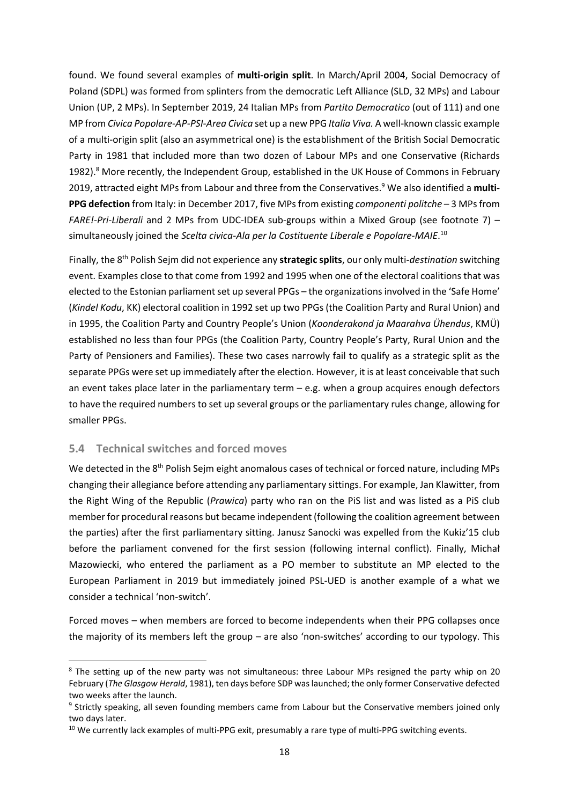found. We found several examples of **multi‐origin split**. In March/April 2004, Social Democracy of Poland (SDPL) was formed from splinters from the democratic Left Alliance (SLD, 32 MPs) and Labour Union (UP, 2 MPs). In September 2019, 24 Italian MPs from *Partito Democratico* (out of 111) and one MP from *Civica Popolare‐AP‐PSI‐Area Civica* set up a new PPG *Italia Viva.* A well‐known classic example of a multi‐origin split (also an asymmetrical one) is the establishment of the British Social Democratic Party in 1981 that included more than two dozen of Labour MPs and one Conservative (Richards 1982).<sup>8</sup> More recently, the Independent Group, established in the UK House of Commons in February 2019, attracted eight MPs from Labour and three from the Conservatives.9 We also identified a **multi‐ PPG defection** from Italy: in December 2017, five MPsfrom existing *componenti politche* – 3 MPsfrom *FARE!‐Pri‐Liberali* and 2 MPs from UDC‐IDEA sub‐groups within a Mixed Group (see footnote 7) – simultaneously joined the *Scelta civica‐Ala per la Costituente Liberale e Popolare‐MAIE*. 10

Finally, the 8th Polish Sejm did not experience any **strategic splits**, our only multi‐*destination* switching event. Examples close to that come from 1992 and 1995 when one of the electoral coalitions that was elected to the Estonian parliament set up several PPGs – the organizations involved in the 'Safe Home' (*Kindel Kodu*, KK) electoral coalition in 1992 set up two PPGs (the Coalition Party and Rural Union) and in 1995, the Coalition Party and Country People's Union (*Koonderakond ja Maarahva Ühendus*, KMÜ) established no less than four PPGs (the Coalition Party, Country People's Party, Rural Union and the Party of Pensioners and Families). These two cases narrowly fail to qualify as a strategic split as the separate PPGs were set up immediately after the election. However, it is at least conceivable that such an event takes place later in the parliamentary term  $-$  e.g. when a group acquires enough defectors to have the required numbers to set up several groups or the parliamentary rules change, allowing for smaller PPGs.

## **5.4 Technical switches and forced moves**

We detected in the 8<sup>th</sup> Polish Sejm eight anomalous cases of technical or forced nature, including MPs changing their allegiance before attending any parliamentary sittings. For example, Jan Klawitter, from the Right Wing of the Republic (*Prawica*) party who ran on the PiS list and was listed as a PiS club member for procedural reasons but became independent (following the coalition agreement between the parties) after the first parliamentary sitting. Janusz Sanocki was expelled from the Kukiz'15 club before the parliament convened for the first session (following internal conflict). Finally, Michał Mazowiecki, who entered the parliament as a PO member to substitute an MP elected to the European Parliament in 2019 but immediately joined PSL‐UED is another example of a what we consider a technical 'non‐switch'.

Forced moves – when members are forced to become independents when their PPG collapses once the majority of its members left the group – are also 'non‐switches' according to our typology. This

<sup>&</sup>lt;sup>8</sup> The setting up of the new party was not simultaneous: three Labour MPs resigned the party whip on 20 February (*The Glasgow Herald*, 1981), ten days before SDP waslaunched; the only former Conservative defected two weeks after the launch.

<sup>&</sup>lt;sup>9</sup> Strictly speaking, all seven founding members came from Labour but the Conservative members joined only two days later.

<sup>&</sup>lt;sup>10</sup> We currently lack examples of multi-PPG exit, presumably a rare type of multi-PPG switching events.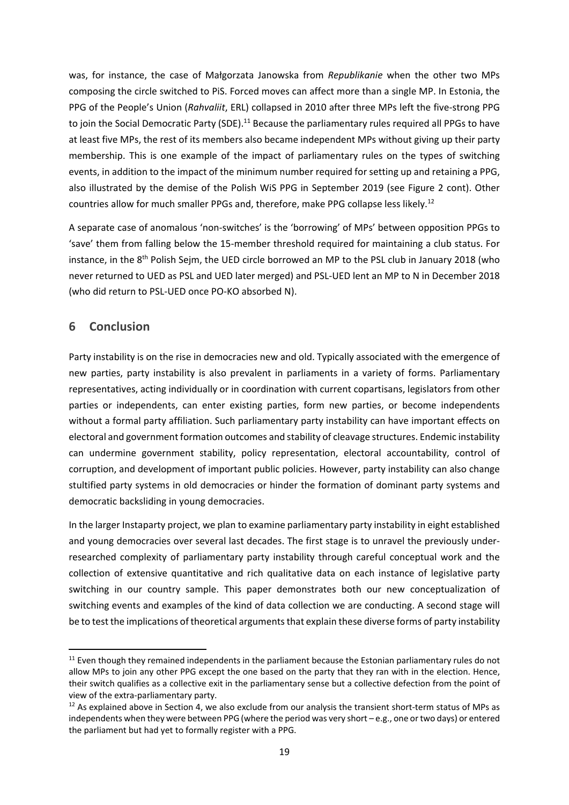was, for instance, the case of Małgorzata Janowska from *Republikanie* when the other two MPs composing the circle switched to PiS. Forced moves can affect more than a single MP. In Estonia, the PPG of the People's Union (*Rahvaliit*, ERL) collapsed in 2010 after three MPs left the five‐strong PPG to join the Social Democratic Party (SDE).<sup>11</sup> Because the parliamentary rules required all PPGs to have at least five MPs, the rest of its members also became independent MPs without giving up their party membership. This is one example of the impact of parliamentary rules on the types of switching events, in addition to the impact of the minimum number required for setting up and retaining a PPG, also illustrated by the demise of the Polish WiS PPG in September 2019 (see Figure 2 cont). Other countries allow for much smaller PPGs and, therefore, make PPG collapse less likely.12

A separate case of anomalous 'non‐switches' is the 'borrowing' of MPs' between opposition PPGs to 'save' them from falling below the 15‐member threshold required for maintaining a club status. For instance, in the 8<sup>th</sup> Polish Sejm, the UED circle borrowed an MP to the PSL club in January 2018 (who never returned to UED as PSL and UED later merged) and PSL‐UED lent an MP to N in December 2018 (who did return to PSL‐UED once PO‐KO absorbed N).

## **6 Conclusion**

Party instability is on the rise in democracies new and old. Typically associated with the emergence of new parties, party instability is also prevalent in parliaments in a variety of forms. Parliamentary representatives, acting individually or in coordination with current copartisans, legislators from other parties or independents, can enter existing parties, form new parties, or become independents without a formal party affiliation. Such parliamentary party instability can have important effects on electoral and government formation outcomes and stability of cleavage structures. Endemic instability can undermine government stability, policy representation, electoral accountability, control of corruption, and development of important public policies. However, party instability can also change stultified party systems in old democracies or hinder the formation of dominant party systems and democratic backsliding in young democracies.

In the larger Instaparty project, we plan to examine parliamentary party instability in eight established and young democracies over several last decades. The first stage is to unravel the previously under‐ researched complexity of parliamentary party instability through careful conceptual work and the collection of extensive quantitative and rich qualitative data on each instance of legislative party switching in our country sample. This paper demonstrates both our new conceptualization of switching events and examples of the kind of data collection we are conducting. A second stage will be to test the implications of theoretical arguments that explain these diverse forms of party instability

<sup>&</sup>lt;sup>11</sup> Even though they remained independents in the parliament because the Estonian parliamentary rules do not allow MPs to join any other PPG except the one based on the party that they ran with in the election. Hence, their switch qualifies as a collective exit in the parliamentary sense but a collective defection from the point of view of the extra‐parliamentary party.

<sup>&</sup>lt;sup>12</sup> As explained above in Section 4, we also exclude from our analysis the transient short-term status of MPs as independents when they were between PPG (where the period was very short – e.g., one ortwo days) or entered the parliament but had yet to formally register with a PPG.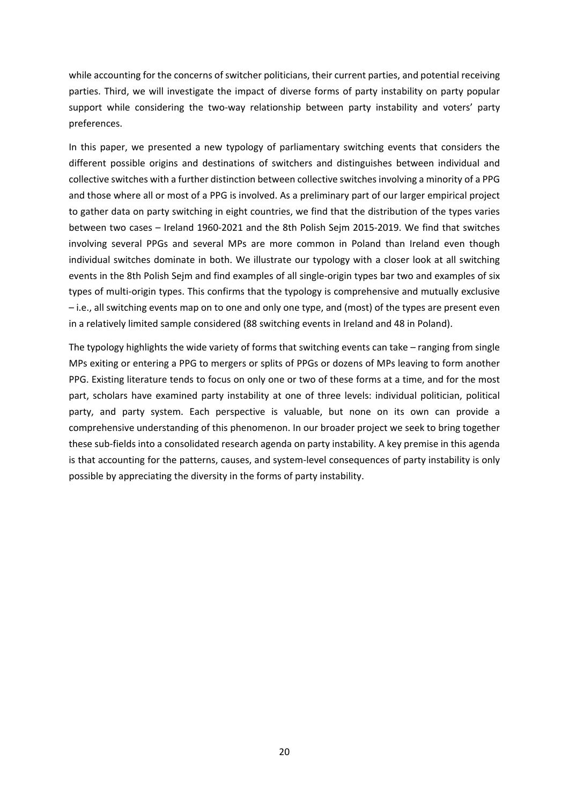while accounting for the concerns of switcher politicians, their current parties, and potential receiving parties. Third, we will investigate the impact of diverse forms of party instability on party popular support while considering the two-way relationship between party instability and voters' party preferences.

In this paper, we presented a new typology of parliamentary switching events that considers the different possible origins and destinations of switchers and distinguishes between individual and collective switches with a further distinction between collective switches involving a minority of a PPG and those where all or most of a PPG is involved. As a preliminary part of our larger empirical project to gather data on party switching in eight countries, we find that the distribution of the types varies between two cases – Ireland 1960‐2021 and the 8th Polish Sejm 2015‐2019. We find that switches involving several PPGs and several MPs are more common in Poland than Ireland even though individual switches dominate in both. We illustrate our typology with a closer look at all switching events in the 8th Polish Sejm and find examples of all single-origin types bar two and examples of six types of multi‐origin types. This confirms that the typology is comprehensive and mutually exclusive – i.e., all switching events map on to one and only one type, and (most) of the types are present even in a relatively limited sample considered (88 switching events in Ireland and 48 in Poland).

The typology highlights the wide variety of forms that switching events can take – ranging from single MPs exiting or entering a PPG to mergers or splits of PPGs or dozens of MPs leaving to form another PPG. Existing literature tends to focus on only one or two of these forms at a time, and for the most part, scholars have examined party instability at one of three levels: individual politician, political party, and party system. Each perspective is valuable, but none on its own can provide a comprehensive understanding of this phenomenon. In our broader project we seek to bring together these sub‐fields into a consolidated research agenda on party instability. A key premise in this agenda is that accounting for the patterns, causes, and system-level consequences of party instability is only possible by appreciating the diversity in the forms of party instability.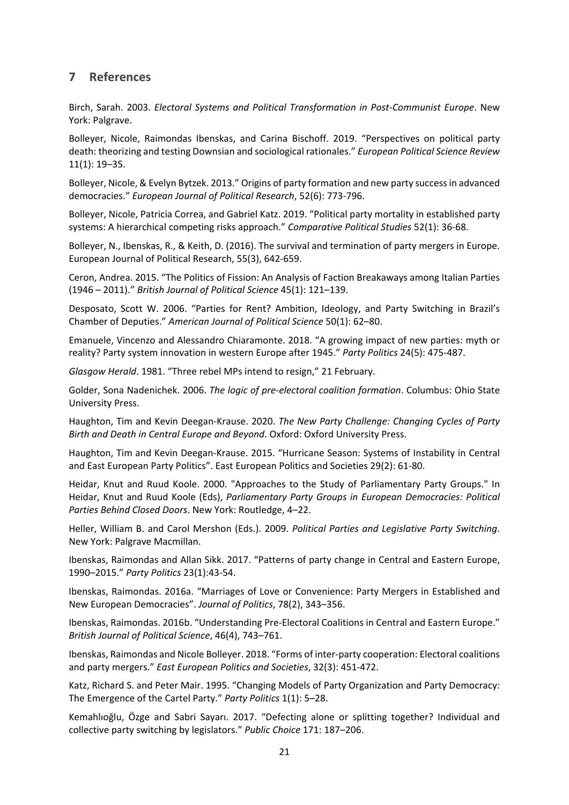## **7 References**

Birch, Sarah. 2003. *Electoral Systems and Political Transformation in Post‐Communist Europe*. New York: Palgrave.

Bolleyer, Nicole, Raimondas Ibenskas, and Carina Bischoff. 2019. "Perspectives on political party death: theorizing and testing Downsian and sociological rationales." *European Political Science Review* 11(1): 19–35.

Bolleyer, Nicole, & Evelyn Bytzek. 2013." Origins of party formation and new party successin advanced democracies." *European Journal of Political Research*, 52(6): 773‐796.

Bolleyer, Nicole, Patricia Correa, and Gabriel Katz. 2019. "Political party mortality in established party systems: A hierarchical competing risks approach." *Comparative Political Studies* 52(1): 36‐68.

Bolleyer, N., Ibenskas, R., & Keith, D. (2016). The survival and termination of party mergers in Europe. European Journal of Political Research, 55(3), 642‐659.

Ceron, Andrea. 2015. "The Politics of Fission: An Analysis of Faction Breakaways among Italian Parties (1946 – 2011)." *British Journal of Political Science* 45(1): 121–139.

Desposato, Scott W. 2006. "Parties for Rent? Ambition, Ideology, and Party Switching in Brazil's Chamber of Deputies." *American Journal of Political Science* 50(1): 62–80.

Emanuele, Vincenzo and Alessandro Chiaramonte. 2018. "A growing impact of new parties: myth or reality? Party system innovation in western Europe after 1945." *Party Politics* 24(5): 475‐487.

*Glasgow Herald*. 1981. "Three rebel MPs intend to resign," 21 February.

Golder, Sona Nadenichek. 2006. *The logic of pre‐electoral coalition formation*. Columbus: Ohio State University Press.

Haughton, Tim and Kevin Deegan‐Krause. 2020. *The New Party Challenge: Changing Cycles of Party Birth and Death in Central Europe and Beyond*. Oxford: Oxford University Press.

Haughton, Tim and Kevin Deegan‐Krause. 2015. "Hurricane Season: Systems of Instability in Central and East European Party Politics". East European Politics and Societies 29(2): 61‐80.

Heidar, Knut and Ruud Koole. 2000. "Approaches to the Study of Parliamentary Party Groups." In Heidar, Knut and Ruud Koole (Eds), *Parliamentary Party Groups in European Democracies: Political Parties Behind Closed Doors*. New York: Routledge, 4–22.

Heller, William B. and Carol Mershon (Eds.). 2009. *Political Parties and Legislative Party Switching*. New York: Palgrave Macmillan.

Ibenskas, Raimondas and Allan Sikk. 2017. "Patterns of party change in Central and Eastern Europe, 1990–2015." *Party Politics* 23(1):43‐54.

Ibenskas, Raimondas. 2016a. "Marriages of Love or Convenience: Party Mergers in Established and New European Democracies". *Journal of Politics*, 78(2), 343–356.

Ibenskas, Raimondas. 2016b. "Understanding Pre‐Electoral Coalitions in Central and Eastern Europe." *British Journal of Political Science*, 46(4), 743–761.

Ibenskas, Raimondas and Nicole Bolleyer. 2018. "Forms of inter‐party cooperation: Electoral coalitions and party mergers." *East European Politics and Societies*, 32(3): 451‐472.

Katz, Richard S. and Peter Mair. 1995. "Changing Models of Party Organization and Party Democracy: The Emergence of the Cartel Party." *Party Politics* 1(1): 5–28.

Kemahlıoğlu, Özge and Sabri Sayarı. 2017. "Defecting alone or splitting together? Individual and collective party switching by legislators." *Public Choice* 171: 187–206.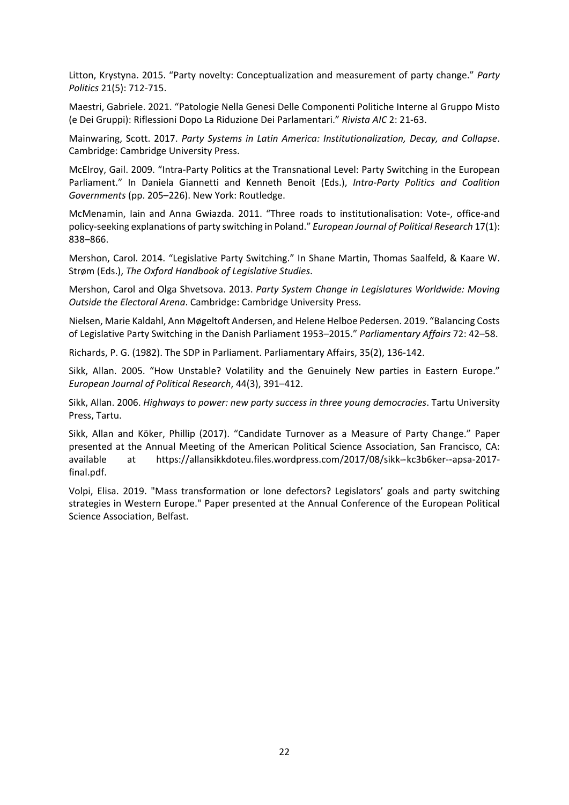Litton, Krystyna. 2015. "Party novelty: Conceptualization and measurement of party change." *Party Politics* 21(5): 712‐715.

Maestri, Gabriele. 2021. "Patologie Nella Genesi Delle Componenti Politiche Interne al Gruppo Misto (e Dei Gruppi): Riflessioni Dopo La Riduzione Dei Parlamentari." *Rivista AIC* 2: 21‐63.

Mainwaring, Scott. 2017. *Party Systems in Latin America: Institutionalization, Decay, and Collapse*. Cambridge: Cambridge University Press.

McElroy, Gail. 2009. "Intra‐Party Politics at the Transnational Level: Party Switching in the European Parliament." In Daniela Giannetti and Kenneth Benoit (Eds.), *Intra‐Party Politics and Coalition Governments* (pp. 205–226). New York: Routledge.

McMenamin, Iain and Anna Gwiazda. 2011. "Three roads to institutionalisation: Vote‐, office‐and policy‐seeking explanations of party switching in Poland." *European Journal of Political Research* 17(1): 838–866.

Mershon, Carol. 2014. "Legislative Party Switching." In Shane Martin, Thomas Saalfeld, & Kaare W. Strøm (Eds.), *The Oxford Handbook of Legislative Studies*.

Mershon, Carol and Olga Shvetsova. 2013. *Party System Change in Legislatures Worldwide: Moving Outside the Electoral Arena*. Cambridge: Cambridge University Press.

Nielsen, Marie Kaldahl, Ann Møgeltoft Andersen, and Helene Helboe Pedersen. 2019. "Balancing Costs of Legislative Party Switching in the Danish Parliament 1953–2015." *Parliamentary Affairs* 72: 42–58.

Richards, P. G. (1982). The SDP in Parliament. Parliamentary Affairs, 35(2), 136‐142.

Sikk, Allan. 2005. "How Unstable? Volatility and the Genuinely New parties in Eastern Europe." *European Journal of Political Research*, 44(3), 391–412.

Sikk, Allan. 2006. *Highways to power: new party success in three young democracies*. Tartu University Press, Tartu.

Sikk, Allan and Köker, Phillip (2017). "Candidate Turnover as a Measure of Party Change." Paper presented at the Annual Meeting of the American Political Science Association, San Francisco, CA: available at https://allansikkdoteu.files.wordpress.com/2017/08/sikk‐-kc3b6ker‐-apsa‐2017‐ final.pdf.

Volpi, Elisa. 2019. "Mass transformation or lone defectors? Legislators' goals and party switching strategies in Western Europe." Paper presented at the Annual Conference of the European Political Science Association, Belfast.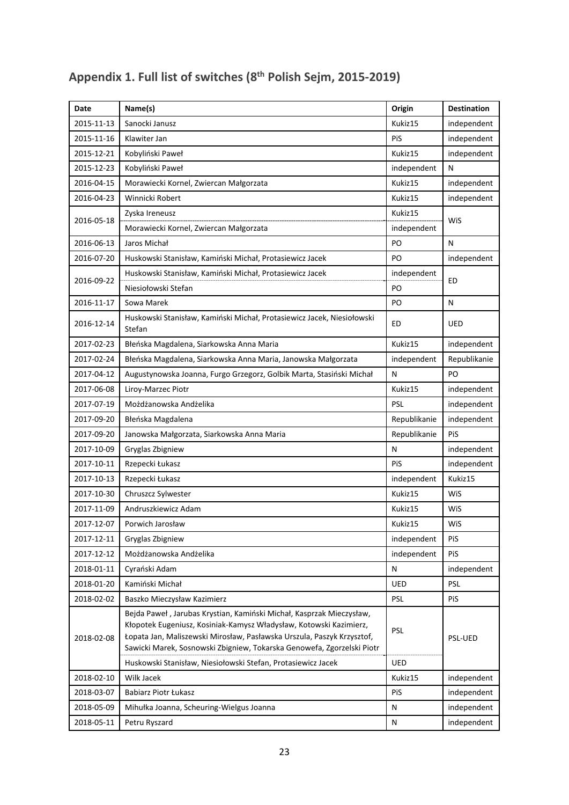| Date       | Name(s)                                                                                                                                                                                                                                                                                                                                                        | Origin       | <b>Destination</b> |  |
|------------|----------------------------------------------------------------------------------------------------------------------------------------------------------------------------------------------------------------------------------------------------------------------------------------------------------------------------------------------------------------|--------------|--------------------|--|
| 2015-11-13 | Sanocki Janusz                                                                                                                                                                                                                                                                                                                                                 | Kukiz15      | independent        |  |
| 2015-11-16 | Klawiter Jan                                                                                                                                                                                                                                                                                                                                                   | PiS          | independent        |  |
| 2015-12-21 | Kobyliński Paweł                                                                                                                                                                                                                                                                                                                                               | Kukiz15      | independent        |  |
| 2015-12-23 | Kobyliński Paweł                                                                                                                                                                                                                                                                                                                                               | independent  | N                  |  |
| 2016-04-15 | Morawiecki Kornel, Zwiercan Małgorzata                                                                                                                                                                                                                                                                                                                         | Kukiz15      | independent        |  |
| 2016-04-23 | Winnicki Robert                                                                                                                                                                                                                                                                                                                                                | Kukiz15      | independent        |  |
|            | Zyska Ireneusz                                                                                                                                                                                                                                                                                                                                                 | Kukiz15      |                    |  |
| 2016-05-18 | Morawiecki Kornel, Zwiercan Małgorzata                                                                                                                                                                                                                                                                                                                         | independent  | WiS                |  |
| 2016-06-13 | Jaros Michał                                                                                                                                                                                                                                                                                                                                                   | PO           | N                  |  |
| 2016-07-20 | Huskowski Stanisław, Kamiński Michał, Protasiewicz Jacek                                                                                                                                                                                                                                                                                                       | PO           | independent        |  |
|            | Huskowski Stanisław, Kamiński Michał, Protasiewicz Jacek                                                                                                                                                                                                                                                                                                       | independent  |                    |  |
| 2016-09-22 | Niesiołowski Stefan                                                                                                                                                                                                                                                                                                                                            | PO           | ED                 |  |
| 2016-11-17 | Sowa Marek                                                                                                                                                                                                                                                                                                                                                     | PO           | N                  |  |
| 2016-12-14 | Huskowski Stanisław, Kamiński Michał, Protasiewicz Jacek, Niesiołowski<br>Stefan                                                                                                                                                                                                                                                                               | ED           | UED                |  |
| 2017-02-23 | Błeńska Magdalena, Siarkowska Anna Maria                                                                                                                                                                                                                                                                                                                       | Kukiz15      | independent        |  |
| 2017-02-24 | Błeńska Magdalena, Siarkowska Anna Maria, Janowska Małgorzata                                                                                                                                                                                                                                                                                                  | independent  | Republikanie       |  |
| 2017-04-12 | Augustynowska Joanna, Furgo Grzegorz, Golbik Marta, Stasiński Michał                                                                                                                                                                                                                                                                                           | N            | PO                 |  |
| 2017-06-08 | Liroy-Marzec Piotr                                                                                                                                                                                                                                                                                                                                             | Kukiz15      | independent        |  |
| 2017-07-19 | Możdżanowska Andżelika                                                                                                                                                                                                                                                                                                                                         | PSL          | independent        |  |
| 2017-09-20 | Błeńska Magdalena                                                                                                                                                                                                                                                                                                                                              | Republikanie | independent        |  |
| 2017-09-20 | Janowska Małgorzata, Siarkowska Anna Maria                                                                                                                                                                                                                                                                                                                     | Republikanie | PiS                |  |
| 2017-10-09 | Gryglas Zbigniew                                                                                                                                                                                                                                                                                                                                               | N            | independent        |  |
| 2017-10-11 | Rzepecki Łukasz                                                                                                                                                                                                                                                                                                                                                | PiS          | independent        |  |
| 2017-10-13 | Rzepecki Łukasz                                                                                                                                                                                                                                                                                                                                                | independent  | Kukiz15            |  |
| 2017-10-30 | Chruszcz Sylwester                                                                                                                                                                                                                                                                                                                                             | Kukiz15      | WiS                |  |
| 2017-11-09 | Andruszkiewicz Adam                                                                                                                                                                                                                                                                                                                                            | Kukiz15      | WiS                |  |
| 2017-12-07 | Porwich Jarosław                                                                                                                                                                                                                                                                                                                                               | Kukiz15      | WiS                |  |
| 2017-12-11 | Gryglas Zbigniew                                                                                                                                                                                                                                                                                                                                               | independent  | PiS                |  |
| 2017-12-12 | Możdżanowska Andżelika                                                                                                                                                                                                                                                                                                                                         | independent  | PiS                |  |
| 2018-01-11 | Cyrański Adam                                                                                                                                                                                                                                                                                                                                                  | N            | independent        |  |
| 2018-01-20 | Kamiński Michał                                                                                                                                                                                                                                                                                                                                                | UED          | <b>PSL</b>         |  |
| 2018-02-02 | Baszko Mieczysław Kazimierz                                                                                                                                                                                                                                                                                                                                    | PSL          | PiS                |  |
| 2018-02-08 | Bejda Paweł, Jarubas Krystian, Kamiński Michał, Kasprzak Mieczysław,<br>Kłopotek Eugeniusz, Kosiniak-Kamysz Władysław, Kotowski Kazimierz,<br>Łopata Jan, Maliszewski Mirosław, Pasławska Urszula, Paszyk Krzysztof,<br>Sawicki Marek, Sosnowski Zbigniew, Tokarska Genowefa, Zgorzelski Piotr<br>Huskowski Stanisław, Niesiołowski Stefan, Protasiewicz Jacek | PSL<br>UED   | <b>PSL-UED</b>     |  |
| 2018-02-10 | Wilk Jacek                                                                                                                                                                                                                                                                                                                                                     | Kukiz15      | independent        |  |
| 2018-03-07 | Babiarz Piotr Łukasz                                                                                                                                                                                                                                                                                                                                           | PiS          | independent        |  |
| 2018-05-09 | Mihułka Joanna, Scheuring-Wielgus Joanna                                                                                                                                                                                                                                                                                                                       | N            | independent        |  |
| 2018-05-11 | Petru Ryszard                                                                                                                                                                                                                                                                                                                                                  | N            | independent        |  |

# **Appendix 1. Full list of switches (8th Polish Sejm, 2015‐2019)**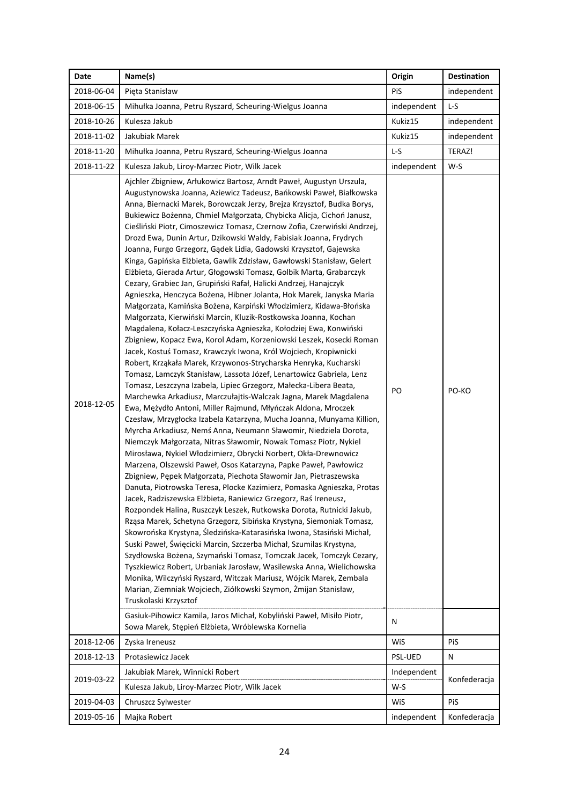| Date       | Name(s)                                                                                                                                                                                                                                                                                                                                                                                                                                                                                                                                                                                                                                                                                                                                                                                                                                                                                                                                                                                                                                                                                                                                                                                                                                                                                                                                                                                                                                                                                                                                                                                                                                                                                                                                                                                                                                                                                                                                                                                                                                                                                                                                                                                                                                                                                                                                                                                                                                                                                                                                                                                                                                                                                                                                                                                                                                                   | Origin      | <b>Destination</b> |
|------------|-----------------------------------------------------------------------------------------------------------------------------------------------------------------------------------------------------------------------------------------------------------------------------------------------------------------------------------------------------------------------------------------------------------------------------------------------------------------------------------------------------------------------------------------------------------------------------------------------------------------------------------------------------------------------------------------------------------------------------------------------------------------------------------------------------------------------------------------------------------------------------------------------------------------------------------------------------------------------------------------------------------------------------------------------------------------------------------------------------------------------------------------------------------------------------------------------------------------------------------------------------------------------------------------------------------------------------------------------------------------------------------------------------------------------------------------------------------------------------------------------------------------------------------------------------------------------------------------------------------------------------------------------------------------------------------------------------------------------------------------------------------------------------------------------------------------------------------------------------------------------------------------------------------------------------------------------------------------------------------------------------------------------------------------------------------------------------------------------------------------------------------------------------------------------------------------------------------------------------------------------------------------------------------------------------------------------------------------------------------------------------------------------------------------------------------------------------------------------------------------------------------------------------------------------------------------------------------------------------------------------------------------------------------------------------------------------------------------------------------------------------------------------------------------------------------------------------------------------------------|-------------|--------------------|
| 2018-06-04 | Pięta Stanisław                                                                                                                                                                                                                                                                                                                                                                                                                                                                                                                                                                                                                                                                                                                                                                                                                                                                                                                                                                                                                                                                                                                                                                                                                                                                                                                                                                                                                                                                                                                                                                                                                                                                                                                                                                                                                                                                                                                                                                                                                                                                                                                                                                                                                                                                                                                                                                                                                                                                                                                                                                                                                                                                                                                                                                                                                                           | <b>PiS</b>  | independent        |
| 2018-06-15 | Mihułka Joanna, Petru Ryszard, Scheuring-Wielgus Joanna                                                                                                                                                                                                                                                                                                                                                                                                                                                                                                                                                                                                                                                                                                                                                                                                                                                                                                                                                                                                                                                                                                                                                                                                                                                                                                                                                                                                                                                                                                                                                                                                                                                                                                                                                                                                                                                                                                                                                                                                                                                                                                                                                                                                                                                                                                                                                                                                                                                                                                                                                                                                                                                                                                                                                                                                   | independent | L-S                |
| 2018-10-26 | Kulesza Jakub                                                                                                                                                                                                                                                                                                                                                                                                                                                                                                                                                                                                                                                                                                                                                                                                                                                                                                                                                                                                                                                                                                                                                                                                                                                                                                                                                                                                                                                                                                                                                                                                                                                                                                                                                                                                                                                                                                                                                                                                                                                                                                                                                                                                                                                                                                                                                                                                                                                                                                                                                                                                                                                                                                                                                                                                                                             | Kukiz15     | independent        |
| 2018-11-02 | Jakubiak Marek                                                                                                                                                                                                                                                                                                                                                                                                                                                                                                                                                                                                                                                                                                                                                                                                                                                                                                                                                                                                                                                                                                                                                                                                                                                                                                                                                                                                                                                                                                                                                                                                                                                                                                                                                                                                                                                                                                                                                                                                                                                                                                                                                                                                                                                                                                                                                                                                                                                                                                                                                                                                                                                                                                                                                                                                                                            | Kukiz15     | independent        |
| 2018-11-20 | Mihułka Joanna, Petru Ryszard, Scheuring-Wielgus Joanna                                                                                                                                                                                                                                                                                                                                                                                                                                                                                                                                                                                                                                                                                                                                                                                                                                                                                                                                                                                                                                                                                                                                                                                                                                                                                                                                                                                                                                                                                                                                                                                                                                                                                                                                                                                                                                                                                                                                                                                                                                                                                                                                                                                                                                                                                                                                                                                                                                                                                                                                                                                                                                                                                                                                                                                                   | $L-S$       | TERAZ!             |
| 2018-11-22 | Kulesza Jakub, Liroy-Marzec Piotr, Wilk Jacek                                                                                                                                                                                                                                                                                                                                                                                                                                                                                                                                                                                                                                                                                                                                                                                                                                                                                                                                                                                                                                                                                                                                                                                                                                                                                                                                                                                                                                                                                                                                                                                                                                                                                                                                                                                                                                                                                                                                                                                                                                                                                                                                                                                                                                                                                                                                                                                                                                                                                                                                                                                                                                                                                                                                                                                                             | independent | $W-S$              |
| 2018-12-05 | Ajchler Zbigniew, Arłukowicz Bartosz, Arndt Paweł, Augustyn Urszula,<br>Augustynowska Joanna, Aziewicz Tadeusz, Bańkowski Paweł, Białkowska<br>Anna, Biernacki Marek, Borowczak Jerzy, Brejza Krzysztof, Budka Borys,<br>Bukiewicz Bożenna, Chmiel Małgorzata, Chybicka Alicja, Cichoń Janusz,<br>Cieśliński Piotr, Cimoszewicz Tomasz, Czernow Zofia, Czerwiński Andrzej,<br>Drozd Ewa, Dunin Artur, Dzikowski Waldy, Fabisiak Joanna, Frydrych<br>Joanna, Furgo Grzegorz, Gądek Lidia, Gadowski Krzysztof, Gajewska<br>Kinga, Gapińska Elżbieta, Gawlik Zdzisław, Gawłowski Stanisław, Gelert<br>Elżbieta, Gierada Artur, Głogowski Tomasz, Golbik Marta, Grabarczyk<br>Cezary, Grabiec Jan, Grupiński Rafał, Halicki Andrzej, Hanajczyk<br>Agnieszka, Henczyca Bożena, Hibner Jolanta, Hok Marek, Janyska Maria<br>Małgorzata, Kamińska Bożena, Karpiński Włodzimierz, Kidawa-Błońska<br>Małgorzata, Kierwiński Marcin, Kluzik-Rostkowska Joanna, Kochan<br>Magdalena, Kołacz-Leszczyńska Agnieszka, Kołodziej Ewa, Konwiński<br>Zbigniew, Kopacz Ewa, Korol Adam, Korzeniowski Leszek, Kosecki Roman<br>Jacek, Kostuś Tomasz, Krawczyk Iwona, Król Wojciech, Kropiwnicki<br>Robert, Krząkała Marek, Krzywonos-Strycharska Henryka, Kucharski<br>Tomasz, Lamczyk Stanisław, Lassota Józef, Lenartowicz Gabriela, Lenz<br>Tomasz, Leszczyna Izabela, Lipiec Grzegorz, Małecka-Libera Beata,<br>Marchewka Arkadiusz, Marczułajtis-Walczak Jagna, Marek Magdalena<br>Ewa, Mężydło Antoni, Miller Rajmund, Młyńczak Aldona, Mroczek<br>Czesław, Mrzygłocka Izabela Katarzyna, Mucha Joanna, Munyama Killion,<br>Myrcha Arkadiusz, Nemś Anna, Neumann Sławomir, Niedziela Dorota,<br>Niemczyk Małgorzata, Nitras Sławomir, Nowak Tomasz Piotr, Nykiel<br>Mirosława, Nykiel Włodzimierz, Obrycki Norbert, Okła-Drewnowicz<br>Marzena, Olszewski Paweł, Osos Katarzyna, Papke Paweł, Pawłowicz<br>Zbigniew, Pępek Małgorzata, Piechota Sławomir Jan, Pietraszewska<br>Danuta, Piotrowska Teresa, Plocke Kazimierz, Pomaska Agnieszka, Protas<br>Jacek, Radziszewska Elżbieta, Raniewicz Grzegorz, Raś Ireneusz,<br>Rozpondek Halina, Ruszczyk Leszek, Rutkowska Dorota, Rutnicki Jakub,<br>Rząsa Marek, Schetyna Grzegorz, Sibińska Krystyna, Siemoniak Tomasz,<br>Skowrońska Krystyna, Śledzińska-Katarasińska Iwona, Stasiński Michał,<br>Suski Paweł, Święcicki Marcin, Szczerba Michał, Szumilas Krystyna,<br>Szydłowska Bożena, Szymański Tomasz, Tomczak Jacek, Tomczyk Cezary,<br>Tyszkiewicz Robert, Urbaniak Jarosław, Wasilewska Anna, Wielichowska<br>Monika, Wilczyński Ryszard, Witczak Mariusz, Wójcik Marek, Zembala<br>Marian, Ziemniak Wojciech, Ziółkowski Szymon, Żmijan Stanisław,<br>Truskolaski Krzysztof<br>Gasiuk-Pihowicz Kamila, Jaros Michał, Kobyliński Paweł, Misiło Piotr,<br>Sowa Marek, Stępień Elżbieta, Wróblewska Kornelia | PO<br>N     | PO-KO              |
| 2018-12-06 | Zyska Ireneusz                                                                                                                                                                                                                                                                                                                                                                                                                                                                                                                                                                                                                                                                                                                                                                                                                                                                                                                                                                                                                                                                                                                                                                                                                                                                                                                                                                                                                                                                                                                                                                                                                                                                                                                                                                                                                                                                                                                                                                                                                                                                                                                                                                                                                                                                                                                                                                                                                                                                                                                                                                                                                                                                                                                                                                                                                                            | WiS         | PiS                |
| 2018-12-13 | Protasiewicz Jacek                                                                                                                                                                                                                                                                                                                                                                                                                                                                                                                                                                                                                                                                                                                                                                                                                                                                                                                                                                                                                                                                                                                                                                                                                                                                                                                                                                                                                                                                                                                                                                                                                                                                                                                                                                                                                                                                                                                                                                                                                                                                                                                                                                                                                                                                                                                                                                                                                                                                                                                                                                                                                                                                                                                                                                                                                                        | PSL-UED     | N                  |
| 2019-03-22 | Jakubiak Marek, Winnicki Robert                                                                                                                                                                                                                                                                                                                                                                                                                                                                                                                                                                                                                                                                                                                                                                                                                                                                                                                                                                                                                                                                                                                                                                                                                                                                                                                                                                                                                                                                                                                                                                                                                                                                                                                                                                                                                                                                                                                                                                                                                                                                                                                                                                                                                                                                                                                                                                                                                                                                                                                                                                                                                                                                                                                                                                                                                           | Independent | Konfederacja       |
|            | Kulesza Jakub, Liroy-Marzec Piotr, Wilk Jacek                                                                                                                                                                                                                                                                                                                                                                                                                                                                                                                                                                                                                                                                                                                                                                                                                                                                                                                                                                                                                                                                                                                                                                                                                                                                                                                                                                                                                                                                                                                                                                                                                                                                                                                                                                                                                                                                                                                                                                                                                                                                                                                                                                                                                                                                                                                                                                                                                                                                                                                                                                                                                                                                                                                                                                                                             | W-S         |                    |
| 2019-04-03 | Chruszcz Sylwester                                                                                                                                                                                                                                                                                                                                                                                                                                                                                                                                                                                                                                                                                                                                                                                                                                                                                                                                                                                                                                                                                                                                                                                                                                                                                                                                                                                                                                                                                                                                                                                                                                                                                                                                                                                                                                                                                                                                                                                                                                                                                                                                                                                                                                                                                                                                                                                                                                                                                                                                                                                                                                                                                                                                                                                                                                        | WiS         | PiS                |
| 2019-05-16 | Majka Robert                                                                                                                                                                                                                                                                                                                                                                                                                                                                                                                                                                                                                                                                                                                                                                                                                                                                                                                                                                                                                                                                                                                                                                                                                                                                                                                                                                                                                                                                                                                                                                                                                                                                                                                                                                                                                                                                                                                                                                                                                                                                                                                                                                                                                                                                                                                                                                                                                                                                                                                                                                                                                                                                                                                                                                                                                                              | independent | Konfederacja       |